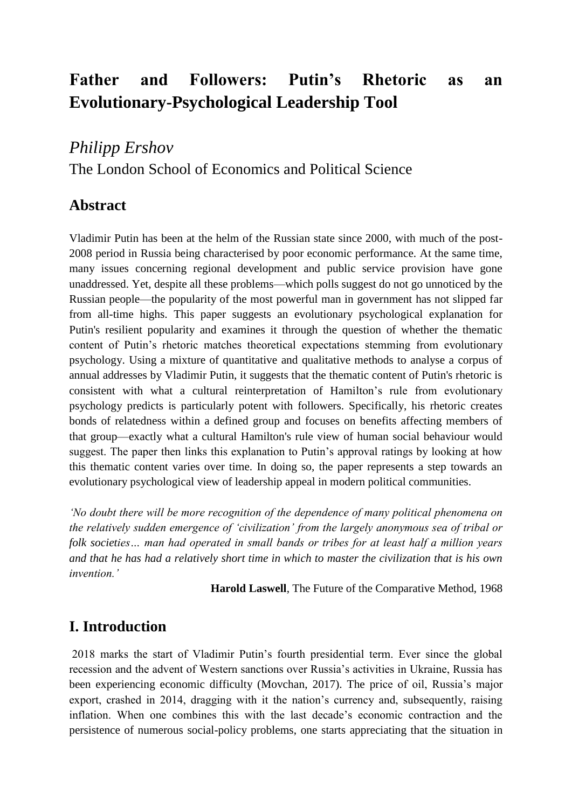# **Father and Followers: Putin's Rhetoric as an Evolutionary-Psychological Leadership Tool**

## *Philipp Ershov*

The London School of Economics and Political Science

## **Abstract**

Vladimir Putin has been at the helm of the Russian state since 2000, with much of the post-2008 period in Russia being characterised by poor economic performance. At the same time, many issues concerning regional development and public service provision have gone unaddressed. Yet, despite all these problems—which polls suggest do not go unnoticed by the Russian people—the popularity of the most powerful man in government has not slipped far from all-time highs. This paper suggests an evolutionary psychological explanation for Putin's resilient popularity and examines it through the question of whether the thematic content of Putin's rhetoric matches theoretical expectations stemming from evolutionary psychology. Using a mixture of quantitative and qualitative methods to analyse a corpus of annual addresses by Vladimir Putin, it suggests that the thematic content of Putin's rhetoric is consistent with what a cultural reinterpretation of Hamilton's rule from evolutionary psychology predicts is particularly potent with followers. Specifically, his rhetoric creates bonds of relatedness within a defined group and focuses on benefits affecting members of that group—exactly what a cultural Hamilton's rule view of human social behaviour would suggest. The paper then links this explanation to Putin's approval ratings by looking at how this thematic content varies over time. In doing so, the paper represents a step towards an evolutionary psychological view of leadership appeal in modern political communities.

*'No doubt there will be more recognition of the dependence of many political phenomena on the relatively sudden emergence of 'civilization' from the largely anonymous sea of tribal or folk societies… man had operated in small bands or tribes for at least half a million years and that he has had a relatively short time in which to master the civilization that is his own invention.'*

**Harold Laswell**, The Future of the Comparative Method, 1968

## **I. Introduction**

2018 marks the start of Vladimir Putin's fourth presidential term. Ever since the global recession and the advent of Western sanctions over Russia's activities in Ukraine, Russia has been experiencing economic difficulty (Movchan, 2017). The price of oil, Russia's major export, crashed in 2014, dragging with it the nation's currency and, subsequently, raising inflation. When one combines this with the last decade's economic contraction and the persistence of numerous social-policy problems, one starts appreciating that the situation in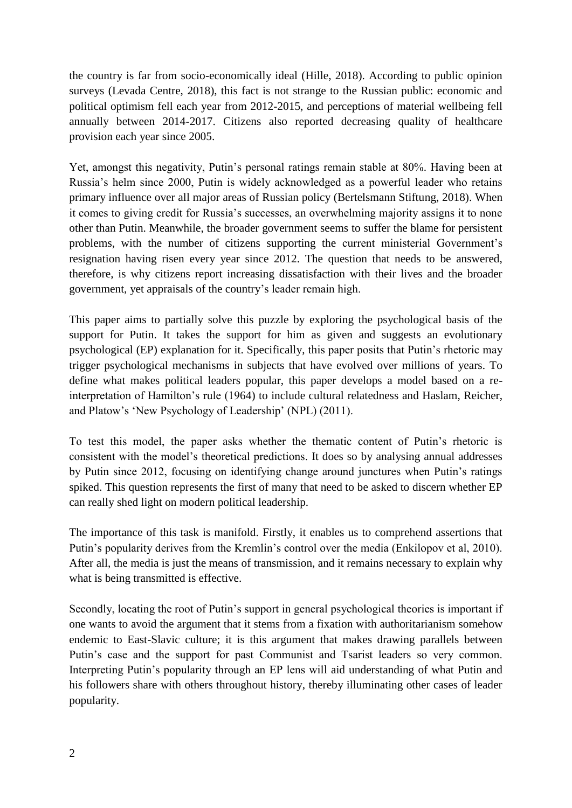the country is far from socio-economically ideal (Hille, 2018). According to public opinion surveys (Levada Centre, 2018), this fact is not strange to the Russian public: economic and political optimism fell each year from 2012-2015, and perceptions of material wellbeing fell annually between 2014-2017. Citizens also reported decreasing quality of healthcare provision each year since 2005.

Yet, amongst this negativity, Putin's personal ratings remain stable at 80%. Having been at Russia's helm since 2000, Putin is widely acknowledged as a powerful leader who retains primary influence over all major areas of Russian policy (Bertelsmann Stiftung, 2018). When it comes to giving credit for Russia's successes, an overwhelming majority assigns it to none other than Putin. Meanwhile, the broader government seems to suffer the blame for persistent problems, with the number of citizens supporting the current ministerial Government's resignation having risen every year since 2012. The question that needs to be answered, therefore, is why citizens report increasing dissatisfaction with their lives and the broader government, yet appraisals of the country's leader remain high.

This paper aims to partially solve this puzzle by exploring the psychological basis of the support for Putin. It takes the support for him as given and suggests an evolutionary psychological (EP) explanation for it. Specifically, this paper posits that Putin's rhetoric may trigger psychological mechanisms in subjects that have evolved over millions of years. To define what makes political leaders popular, this paper develops a model based on a reinterpretation of Hamilton's rule (1964) to include cultural relatedness and Haslam, Reicher, and Platow's 'New Psychology of Leadership' (NPL) (2011).

To test this model, the paper asks whether the thematic content of Putin's rhetoric is consistent with the model's theoretical predictions. It does so by analysing annual addresses by Putin since 2012, focusing on identifying change around junctures when Putin's ratings spiked. This question represents the first of many that need to be asked to discern whether EP can really shed light on modern political leadership.

The importance of this task is manifold. Firstly, it enables us to comprehend assertions that Putin's popularity derives from the Kremlin's control over the media (Enkilopov et al, 2010). After all, the media is just the means of transmission, and it remains necessary to explain why what is being transmitted is effective.

Secondly, locating the root of Putin's support in general psychological theories is important if one wants to avoid the argument that it stems from a fixation with authoritarianism somehow endemic to East-Slavic culture; it is this argument that makes drawing parallels between Putin's case and the support for past Communist and Tsarist leaders so very common. Interpreting Putin's popularity through an EP lens will aid understanding of what Putin and his followers share with others throughout history, thereby illuminating other cases of leader popularity.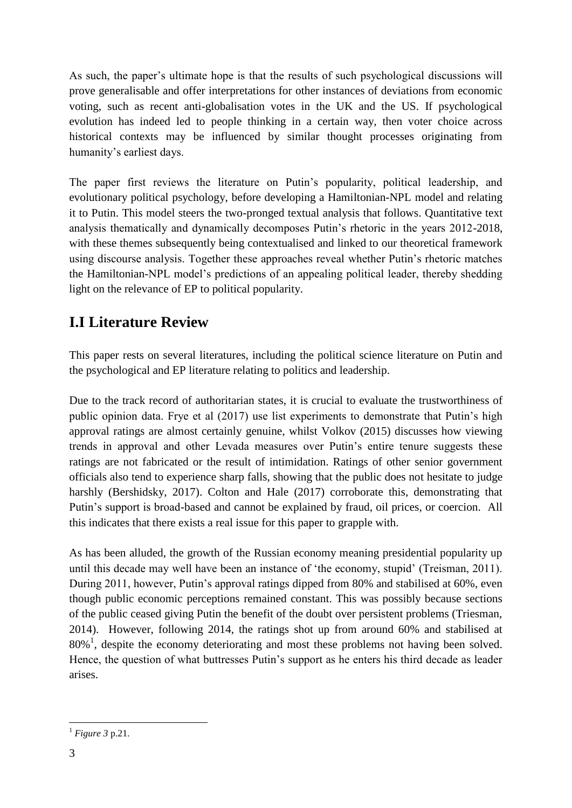As such, the paper's ultimate hope is that the results of such psychological discussions will prove generalisable and offer interpretations for other instances of deviations from economic voting, such as recent anti-globalisation votes in the UK and the US. If psychological evolution has indeed led to people thinking in a certain way, then voter choice across historical contexts may be influenced by similar thought processes originating from humanity's earliest days.

The paper first reviews the literature on Putin's popularity, political leadership, and evolutionary political psychology, before developing a Hamiltonian-NPL model and relating it to Putin. This model steers the two-pronged textual analysis that follows. Quantitative text analysis thematically and dynamically decomposes Putin's rhetoric in the years 2012-2018, with these themes subsequently being contextualised and linked to our theoretical framework using discourse analysis. Together these approaches reveal whether Putin's rhetoric matches the Hamiltonian-NPL model's predictions of an appealing political leader, thereby shedding light on the relevance of EP to political popularity.

## **I.I Literature Review**

This paper rests on several literatures, including the political science literature on Putin and the psychological and EP literature relating to politics and leadership.

Due to the track record of authoritarian states, it is crucial to evaluate the trustworthiness of public opinion data. Frye et al (2017) use list experiments to demonstrate that Putin's high approval ratings are almost certainly genuine, whilst Volkov (2015) discusses how viewing trends in approval and other Levada measures over Putin's entire tenure suggests these ratings are not fabricated or the result of intimidation. Ratings of other senior government officials also tend to experience sharp falls, showing that the public does not hesitate to judge harshly (Bershidsky, 2017). Colton and Hale (2017) corroborate this, demonstrating that Putin's support is broad-based and cannot be explained by fraud, oil prices, or coercion. All this indicates that there exists a real issue for this paper to grapple with.

As has been alluded, the growth of the Russian economy meaning presidential popularity up until this decade may well have been an instance of 'the economy, stupid' (Treisman, 2011). During 2011, however, Putin's approval ratings dipped from 80% and stabilised at 60%, even though public economic perceptions remained constant. This was possibly because sections of the public ceased giving Putin the benefit of the doubt over persistent problems (Triesman, 2014). However, following 2014, the ratings shot up from around 60% and stabilised at  $80\%$ <sup>1</sup>, despite the economy deteriorating and most these problems not having been solved. Hence, the question of what buttresses Putin's support as he enters his third decade as leader arises.

<sup>1</sup> <sup>1</sup> *Figure 3* p.21.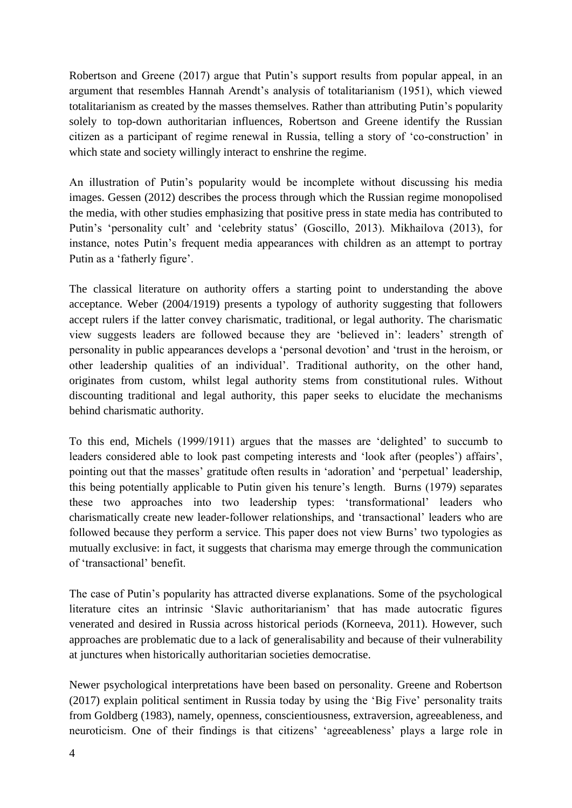Robertson and Greene (2017) argue that Putin's support results from popular appeal, in an argument that resembles Hannah Arendt's analysis of totalitarianism (1951), which viewed totalitarianism as created by the masses themselves. Rather than attributing Putin's popularity solely to top-down authoritarian influences, Robertson and Greene identify the Russian citizen as a participant of regime renewal in Russia, telling a story of 'co-construction' in which state and society willingly interact to enshrine the regime.

An illustration of Putin's popularity would be incomplete without discussing his media images. Gessen (2012) describes the process through which the Russian regime monopolised the media, with other studies emphasizing that positive press in state media has contributed to Putin's 'personality cult' and 'celebrity status' (Goscillo, 2013). Mikhailova (2013), for instance, notes Putin's frequent media appearances with children as an attempt to portray Putin as a 'fatherly figure'.

The classical literature on authority offers a starting point to understanding the above acceptance. Weber (2004/1919) presents a typology of authority suggesting that followers accept rulers if the latter convey charismatic, traditional, or legal authority. The charismatic view suggests leaders are followed because they are 'believed in': leaders' strength of personality in public appearances develops a 'personal devotion' and 'trust in the heroism, or other leadership qualities of an individual'. Traditional authority, on the other hand, originates from custom, whilst legal authority stems from constitutional rules. Without discounting traditional and legal authority, this paper seeks to elucidate the mechanisms behind charismatic authority.

To this end, Michels (1999/1911) argues that the masses are 'delighted' to succumb to leaders considered able to look past competing interests and 'look after (peoples') affairs', pointing out that the masses' gratitude often results in 'adoration' and 'perpetual' leadership, this being potentially applicable to Putin given his tenure's length. Burns (1979) separates these two approaches into two leadership types: 'transformational' leaders who charismatically create new leader-follower relationships, and 'transactional' leaders who are followed because they perform a service. This paper does not view Burns' two typologies as mutually exclusive: in fact, it suggests that charisma may emerge through the communication of 'transactional' benefit.

The case of Putin's popularity has attracted diverse explanations. Some of the psychological literature cites an intrinsic 'Slavic authoritarianism' that has made autocratic figures venerated and desired in Russia across historical periods (Korneeva, 2011). However, such approaches are problematic due to a lack of generalisability and because of their vulnerability at junctures when historically authoritarian societies democratise.

Newer psychological interpretations have been based on personality. Greene and Robertson (2017) explain political sentiment in Russia today by using the 'Big Five' personality traits from Goldberg (1983), namely, openness, conscientiousness, extraversion, agreeableness, and neuroticism. One of their findings is that citizens' 'agreeableness' plays a large role in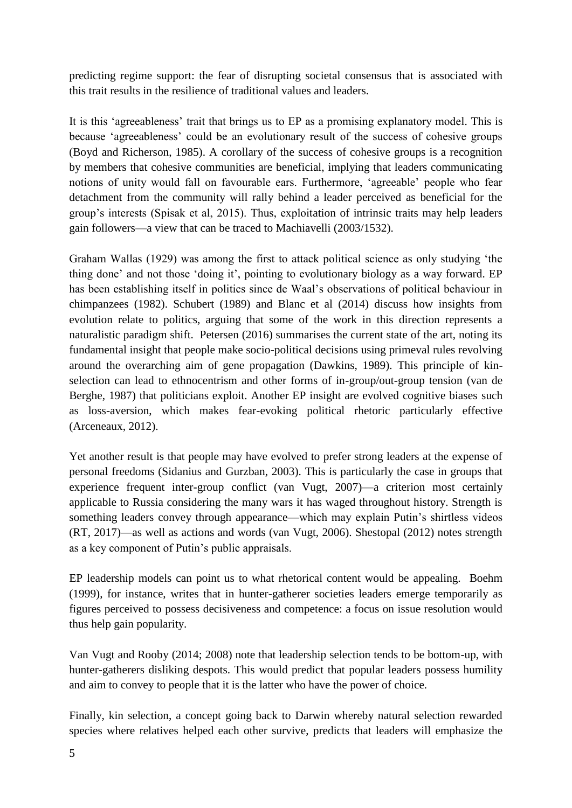predicting regime support: the fear of disrupting societal consensus that is associated with this trait results in the resilience of traditional values and leaders.

It is this 'agreeableness' trait that brings us to EP as a promising explanatory model. This is because 'agreeableness' could be an evolutionary result of the success of cohesive groups (Boyd and Richerson, 1985). A corollary of the success of cohesive groups is a recognition by members that cohesive communities are beneficial, implying that leaders communicating notions of unity would fall on favourable ears. Furthermore, 'agreeable' people who fear detachment from the community will rally behind a leader perceived as beneficial for the group's interests (Spisak et al, 2015). Thus, exploitation of intrinsic traits may help leaders gain followers—a view that can be traced to Machiavelli (2003/1532).

Graham Wallas (1929) was among the first to attack political science as only studying 'the thing done' and not those 'doing it', pointing to evolutionary biology as a way forward. EP has been establishing itself in politics since de Waal's observations of political behaviour in chimpanzees (1982). Schubert (1989) and Blanc et al (2014) discuss how insights from evolution relate to politics, arguing that some of the work in this direction represents a naturalistic paradigm shift. Petersen (2016) summarises the current state of the art, noting its fundamental insight that people make socio-political decisions using primeval rules revolving around the overarching aim of gene propagation (Dawkins, 1989). This principle of kinselection can lead to ethnocentrism and other forms of in-group/out-group tension (van de Berghe, 1987) that politicians exploit. Another EP insight are evolved cognitive biases such as loss-aversion, which makes fear-evoking political rhetoric particularly effective (Arceneaux, 2012).

Yet another result is that people may have evolved to prefer strong leaders at the expense of personal freedoms (Sidanius and Gurzban, 2003). This is particularly the case in groups that experience frequent inter-group conflict (van Vugt, 2007)—a criterion most certainly applicable to Russia considering the many wars it has waged throughout history. Strength is something leaders convey through appearance—which may explain Putin's shirtless videos (RT, 2017)—as well as actions and words (van Vugt, 2006). Shestopal (2012) notes strength as a key component of Putin's public appraisals.

EP leadership models can point us to what rhetorical content would be appealing. Boehm (1999), for instance, writes that in hunter-gatherer societies leaders emerge temporarily as figures perceived to possess decisiveness and competence: a focus on issue resolution would thus help gain popularity.

Van Vugt and Rooby (2014; 2008) note that leadership selection tends to be bottom-up, with hunter-gatherers disliking despots. This would predict that popular leaders possess humility and aim to convey to people that it is the latter who have the power of choice.

Finally, kin selection, a concept going back to Darwin whereby natural selection rewarded species where relatives helped each other survive, predicts that leaders will emphasize the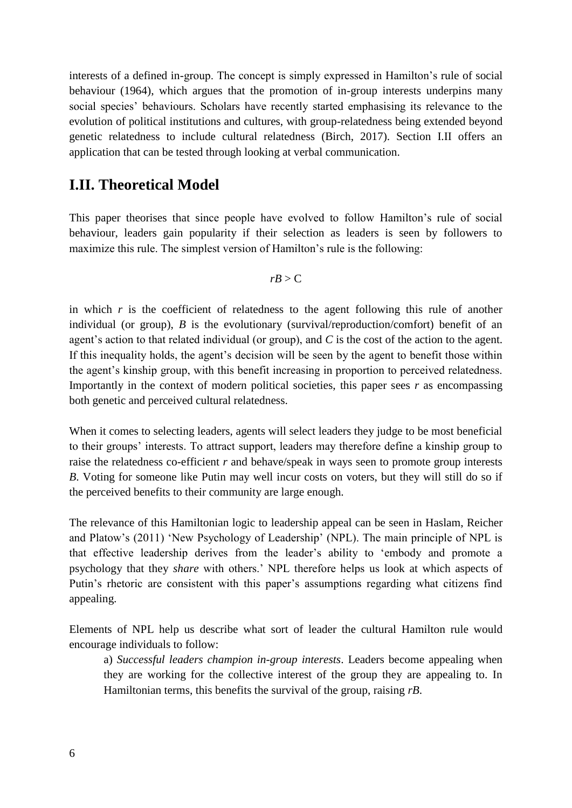interests of a defined in-group. The concept is simply expressed in Hamilton's rule of social behaviour (1964), which argues that the promotion of in-group interests underpins many social species' behaviours. Scholars have recently started emphasising its relevance to the evolution of political institutions and cultures, with group-relatedness being extended beyond genetic relatedness to include cultural relatedness (Birch, 2017). Section I.II offers an application that can be tested through looking at verbal communication.

#### **I.II. Theoretical Model**

This paper theorises that since people have evolved to follow Hamilton's rule of social behaviour, leaders gain popularity if their selection as leaders is seen by followers to maximize this rule. The simplest version of Hamilton's rule is the following:

$$
rB > C
$$

in which  $r$  is the coefficient of relatedness to the agent following this rule of another individual (or group), *B* is the evolutionary (survival/reproduction/comfort) benefit of an agent's action to that related individual (or group), and *C* is the cost of the action to the agent. If this inequality holds, the agent's decision will be seen by the agent to benefit those within the agent's kinship group, with this benefit increasing in proportion to perceived relatedness. Importantly in the context of modern political societies, this paper sees  $r$  as encompassing both genetic and perceived cultural relatedness.

When it comes to selecting leaders, agents will select leaders they judge to be most beneficial to their groups' interests. To attract support, leaders may therefore define a kinship group to raise the relatedness co-efficient *r* and behave/speak in ways seen to promote group interests *B*. Voting for someone like Putin may well incur costs on voters, but they will still do so if the perceived benefits to their community are large enough.

The relevance of this Hamiltonian logic to leadership appeal can be seen in Haslam, Reicher and Platow's (2011) 'New Psychology of Leadership' (NPL). The main principle of NPL is that effective leadership derives from the leader's ability to 'embody and promote a psychology that they *share* with others.' NPL therefore helps us look at which aspects of Putin's rhetoric are consistent with this paper's assumptions regarding what citizens find appealing.

Elements of NPL help us describe what sort of leader the cultural Hamilton rule would encourage individuals to follow:

a) *Successful leaders champion in-group interests*. Leaders become appealing when they are working for the collective interest of the group they are appealing to. In Hamiltonian terms, this benefits the survival of the group, raising *rB*.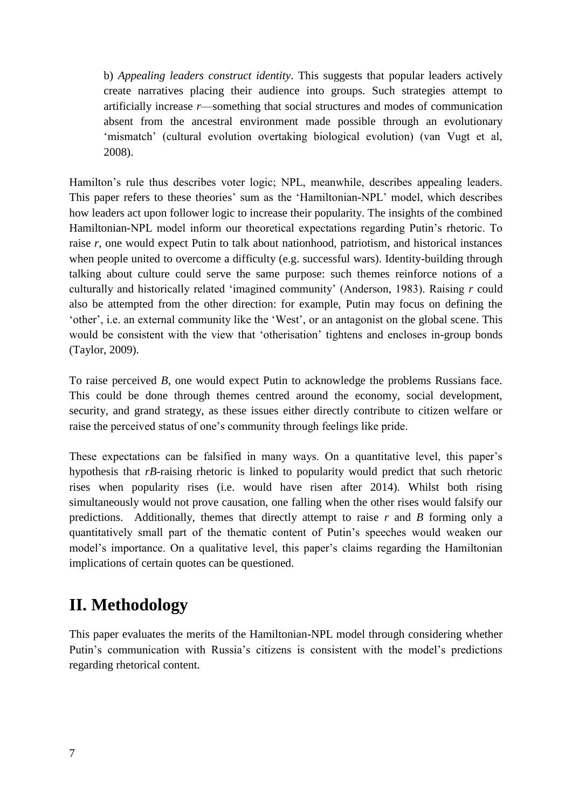b) *Appealing leaders construct identity*. This suggests that popular leaders actively create narratives placing their audience into groups. Such strategies attempt to artificially increase *r*—something that social structures and modes of communication absent from the ancestral environment made possible through an evolutionary 'mismatch' (cultural evolution overtaking biological evolution) (van Vugt et al, 2008).

Hamilton's rule thus describes voter logic; NPL, meanwhile, describes appealing leaders. This paper refers to these theories' sum as the 'Hamiltonian-NPL' model, which describes how leaders act upon follower logic to increase their popularity. The insights of the combined Hamiltonian-NPL model inform our theoretical expectations regarding Putin's rhetoric. To raise *r*, one would expect Putin to talk about nationhood, patriotism, and historical instances when people united to overcome a difficulty (e.g. successful wars). Identity-building through talking about culture could serve the same purpose: such themes reinforce notions of a culturally and historically related 'imagined community' (Anderson, 1983). Raising *r* could also be attempted from the other direction: for example, Putin may focus on defining the 'other', i.e. an external community like the 'West', or an antagonist on the global scene. This would be consistent with the view that 'otherisation' tightens and encloses in-group bonds (Taylor, 2009).

To raise perceived *B*, one would expect Putin to acknowledge the problems Russians face. This could be done through themes centred around the economy, social development, security, and grand strategy, as these issues either directly contribute to citizen welfare or raise the perceived status of one's community through feelings like pride.

These expectations can be falsified in many ways. On a quantitative level, this paper's hypothesis that *rB*-raising rhetoric is linked to popularity would predict that such rhetoric rises when popularity rises (i.e. would have risen after 2014). Whilst both rising simultaneously would not prove causation, one falling when the other rises would falsify our predictions. Additionally, themes that directly attempt to raise *r* and *B* forming only a quantitatively small part of the thematic content of Putin's speeches would weaken our model's importance. On a qualitative level, this paper's claims regarding the Hamiltonian implications of certain quotes can be questioned.

# **II. Methodology**

This paper evaluates the merits of the Hamiltonian-NPL model through considering whether Putin's communication with Russia's citizens is consistent with the model's predictions regarding rhetorical content.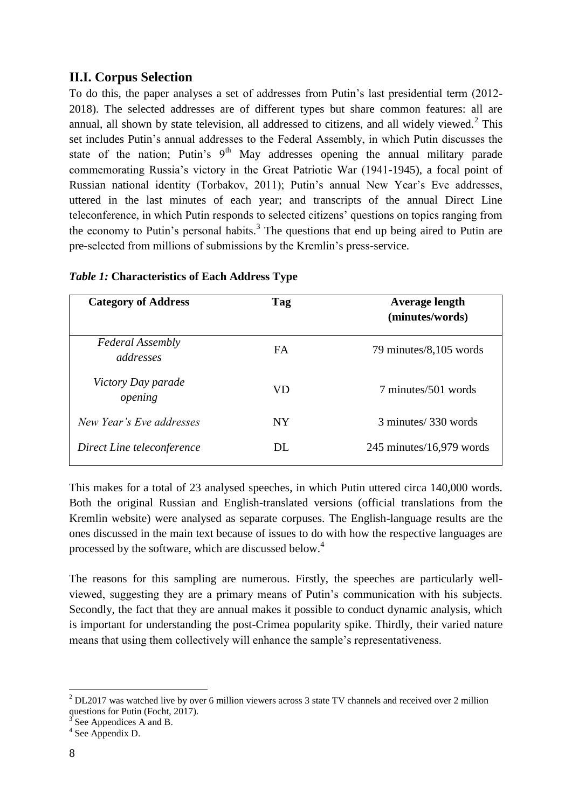#### **II.I. Corpus Selection**

To do this, the paper analyses a set of addresses from Putin's last presidential term (2012- 2018). The selected addresses are of different types but share common features: all are annual, all shown by state television, all addressed to citizens, and all widely viewed. $2$  This set includes Putin's annual addresses to the Federal Assembly, in which Putin discusses the state of the nation; Putin's  $9<sup>th</sup>$  May addresses opening the annual military parade commemorating Russia's victory in the Great Patriotic War (1941-1945), a focal point of Russian national identity (Torbakov, 2011); Putin's annual New Year's Eve addresses, uttered in the last minutes of each year; and transcripts of the annual Direct Line teleconference, in which Putin responds to selected citizens' questions on topics ranging from the economy to Putin's personal habits.<sup>3</sup> The questions that end up being aired to Putin are pre-selected from millions of submissions by the Kremlin's press-service.

| <b>Category of Address</b>           | Tag       | <b>Average length</b><br>(minutes/words) |
|--------------------------------------|-----------|------------------------------------------|
| <b>Federal Assembly</b><br>addresses | FA        | 79 minutes/8,105 words                   |
| Victory Day parade<br>opening        | <b>VD</b> | 7 minutes/501 words                      |
| New Year's Eve addresses             | <b>NY</b> | 3 minutes/330 words                      |
| Direct Line teleconference           | DL.       | $245$ minutes/16,979 words               |

#### *Table 1:* **Characteristics of Each Address Type**

This makes for a total of 23 analysed speeches, in which Putin uttered circa 140,000 words. Both the original Russian and English-translated versions (official translations from the Kremlin website) were analysed as separate corpuses. The English-language results are the ones discussed in the main text because of issues to do with how the respective languages are processed by the software, which are discussed below.<sup>4</sup>

The reasons for this sampling are numerous. Firstly, the speeches are particularly wellviewed, suggesting they are a primary means of Putin's communication with his subjects. Secondly, the fact that they are annual makes it possible to conduct dynamic analysis, which is important for understanding the post-Crimea popularity spike. Thirdly, their varied nature means that using them collectively will enhance the sample's representativeness.

1

 $2$  DL2017 was watched live by over 6 million viewers across 3 state TV channels and received over 2 million questions for Putin (Focht, 2017).

<sup>3</sup> See Appendices A and B.

<sup>4</sup> See Appendix D.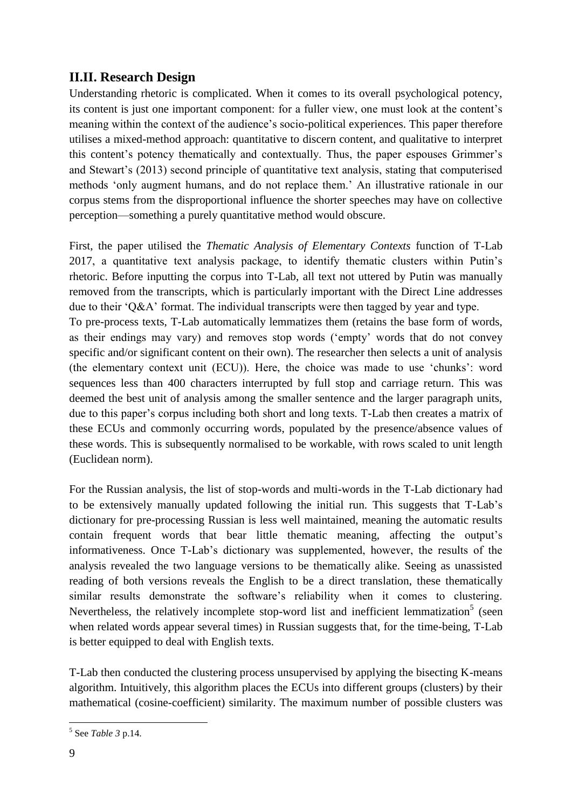#### **II.II. Research Design**

Understanding rhetoric is complicated. When it comes to its overall psychological potency, its content is just one important component: for a fuller view, one must look at the content's meaning within the context of the audience's socio-political experiences. This paper therefore utilises a mixed-method approach: quantitative to discern content, and qualitative to interpret this content's potency thematically and contextually. Thus, the paper espouses Grimmer's and Stewart's (2013) second principle of quantitative text analysis, stating that computerised methods 'only augment humans, and do not replace them.' An illustrative rationale in our corpus stems from the disproportional influence the shorter speeches may have on collective perception—something a purely quantitative method would obscure.

First, the paper utilised the *Thematic Analysis of Elementary Contexts* function of T-Lab 2017, a quantitative text analysis package, to identify thematic clusters within Putin's rhetoric. Before inputting the corpus into T-Lab, all text not uttered by Putin was manually removed from the transcripts, which is particularly important with the Direct Line addresses due to their 'Q&A' format. The individual transcripts were then tagged by year and type. To pre-process texts, T-Lab automatically lemmatizes them (retains the base form of words, as their endings may vary) and removes stop words ('empty' words that do not convey specific and/or significant content on their own). The researcher then selects a unit of analysis (the elementary context unit (ECU)). Here, the choice was made to use 'chunks': word sequences less than 400 characters interrupted by full stop and carriage return. This was deemed the best unit of analysis among the smaller sentence and the larger paragraph units, due to this paper's corpus including both short and long texts. T-Lab then creates a matrix of these ECUs and commonly occurring words, populated by the presence/absence values of these words. This is subsequently normalised to be workable, with rows scaled to unit length (Euclidean norm).

For the Russian analysis, the list of stop-words and multi-words in the T-Lab dictionary had to be extensively manually updated following the initial run. This suggests that T-Lab's dictionary for pre-processing Russian is less well maintained, meaning the automatic results contain frequent words that bear little thematic meaning, affecting the output's informativeness. Once T-Lab's dictionary was supplemented, however, the results of the analysis revealed the two language versions to be thematically alike. Seeing as unassisted reading of both versions reveals the English to be a direct translation, these thematically similar results demonstrate the software's reliability when it comes to clustering. Nevertheless, the relatively incomplete stop-word list and inefficient lemmatization<sup>5</sup> (seen when related words appear several times) in Russian suggests that, for the time-being, T-Lab is better equipped to deal with English texts.

T-Lab then conducted the clustering process unsupervised by applying the bisecting K-means algorithm. Intuitively, this algorithm places the ECUs into different groups (clusters) by their mathematical (cosine-coefficient) similarity. The maximum number of possible clusters was

1

<sup>5</sup> See *Table 3* p.14.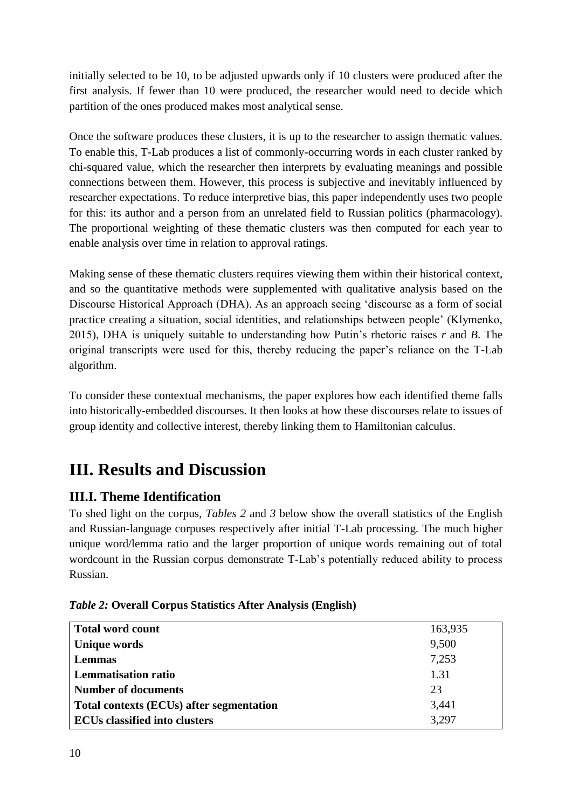initially selected to be 10, to be adjusted upwards only if 10 clusters were produced after the first analysis. If fewer than 10 were produced, the researcher would need to decide which partition of the ones produced makes most analytical sense.

Once the software produces these clusters, it is up to the researcher to assign thematic values. To enable this, T-Lab produces a list of commonly-occurring words in each cluster ranked by chi-squared value, which the researcher then interprets by evaluating meanings and possible connections between them. However, this process is subjective and inevitably influenced by researcher expectations. To reduce interpretive bias, this paper independently uses two people for this: its author and a person from an unrelated field to Russian politics (pharmacology). The proportional weighting of these thematic clusters was then computed for each year to enable analysis over time in relation to approval ratings.

Making sense of these thematic clusters requires viewing them within their historical context, and so the quantitative methods were supplemented with qualitative analysis based on the Discourse Historical Approach (DHA). As an approach seeing 'discourse as a form of social practice creating a situation, social identities, and relationships between people' (Klymenko, 2015), DHA is uniquely suitable to understanding how Putin's rhetoric raises *r* and *B*. The original transcripts were used for this, thereby reducing the paper's reliance on the T-Lab algorithm.

To consider these contextual mechanisms, the paper explores how each identified theme falls into historically-embedded discourses. It then looks at how these discourses relate to issues of group identity and collective interest, thereby linking them to Hamiltonian calculus.

# **III. Results and Discussion**

## **III.I. Theme Identification**

To shed light on the corpus, *Tables 2* and *3* below show the overall statistics of the English and Russian-language corpuses respectively after initial T-Lab processing. The much higher unique word/lemma ratio and the larger proportion of unique words remaining out of total wordcount in the Russian corpus demonstrate T-Lab's potentially reduced ability to process Russian.

|  | <i>Table 2:</i> Overall Corpus Statistics After Analysis (English) |  |  |
|--|--------------------------------------------------------------------|--|--|
|  |                                                                    |  |  |

| <b>Total word count</b>                  | 163,935 |
|------------------------------------------|---------|
| Unique words                             | 9,500   |
| <b>Lemmas</b>                            | 7,253   |
| <b>Lemmatisation ratio</b>               | 1.31    |
| <b>Number of documents</b>               | 23      |
| Total contexts (ECUs) after segmentation | 3,441   |
| <b>ECUs classified into clusters</b>     | 3,297   |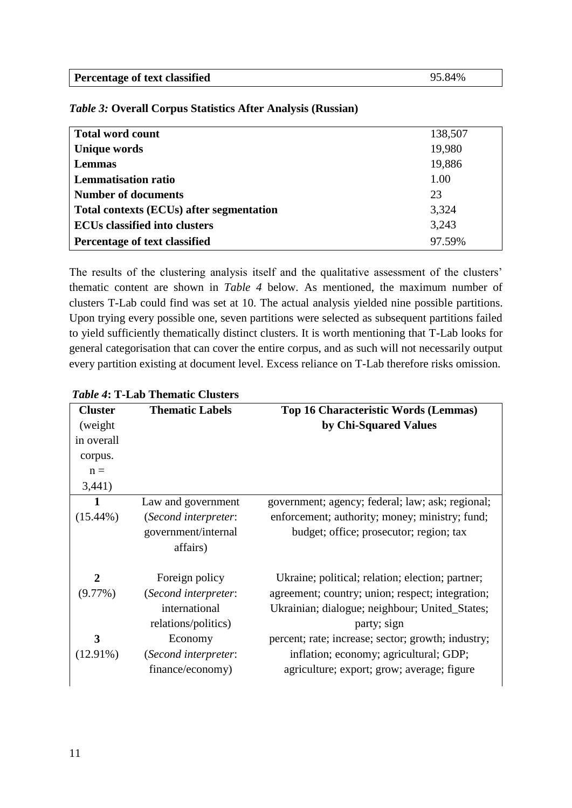| <b>Percentage of text classified</b> | 95.84% |
|--------------------------------------|--------|
|--------------------------------------|--------|

| <b>Total word count</b>                  | 138,507 |
|------------------------------------------|---------|
| <b>Unique words</b>                      | 19,980  |
| <b>Lemmas</b>                            | 19,886  |
| <b>Lemmatisation ratio</b>               | 1.00    |
| <b>Number of documents</b>               | 23      |
| Total contexts (ECUs) after segmentation | 3,324   |
| <b>ECUs classified into clusters</b>     | 3,243   |
| Percentage of text classified            | 97.59%  |

*Table 3:* **Overall Corpus Statistics After Analysis (Russian)**

The results of the clustering analysis itself and the qualitative assessment of the clusters' thematic content are shown in *Table 4* below. As mentioned, the maximum number of clusters T-Lab could find was set at 10. The actual analysis yielded nine possible partitions. Upon trying every possible one, seven partitions were selected as subsequent partitions failed to yield sufficiently thematically distinct clusters. It is worth mentioning that T-Lab looks for general categorisation that can cover the entire corpus, and as such will not necessarily output every partition existing at document level. Excess reliance on T-Lab therefore risks omission.

| <b>Cluster</b> | <b>Thematic Labels</b> | <b>Top 16 Characteristic Words (Lemmas)</b>        |  |
|----------------|------------------------|----------------------------------------------------|--|
| (weight)       |                        | by Chi-Squared Values                              |  |
| in overall     |                        |                                                    |  |
| corpus.        |                        |                                                    |  |
| $n =$          |                        |                                                    |  |
| 3,441)         |                        |                                                    |  |
| 1              | Law and government     | government; agency; federal; law; ask; regional;   |  |
| $(15.44\%)$    | (Second interpreter:   | enforcement; authority; money; ministry; fund;     |  |
|                | government/internal    | budget; office; prosecutor; region; tax            |  |
|                | affairs)               |                                                    |  |
| $\mathbf{2}$   | Foreign policy         | Ukraine; political; relation; election; partner;   |  |
| $(9.77\%)$     | (Second interpreter:   | agreement; country; union; respect; integration;   |  |
|                | international          | Ukrainian; dialogue; neighbour; United_States;     |  |
|                | relations/politics)    | party; sign                                        |  |
| 3              | Economy                | percent; rate; increase; sector; growth; industry; |  |
| $(12.91\%)$    | (Second interpreter:   | inflation; economy; agricultural; GDP;             |  |
|                | finance/economy)       | agriculture; export; grow; average; figure         |  |

*Table 4***: T-Lab Thematic Clusters**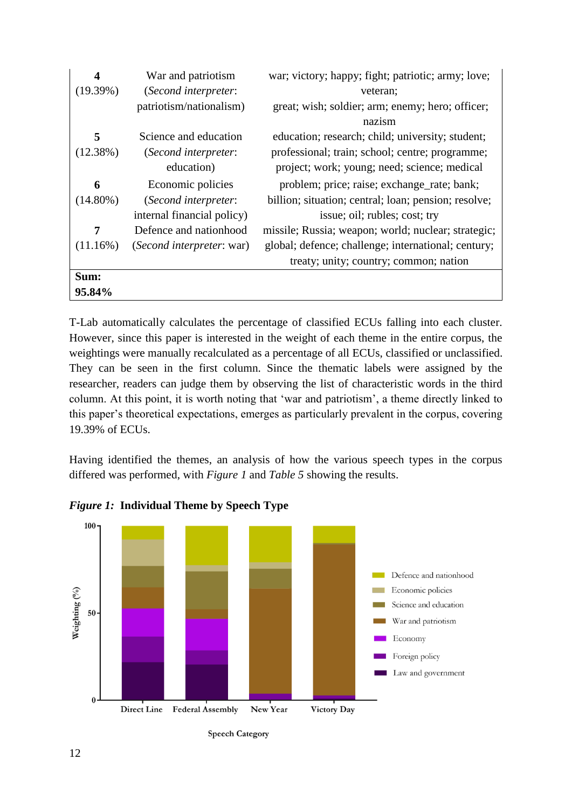| 4           | War and patriotism         | war; victory; happy; fight; patriotic; army; love;   |
|-------------|----------------------------|------------------------------------------------------|
| (19.39%)    | (Second interpreter:       | veteran;                                             |
|             | patriotism/nationalism)    | great; wish; soldier; arm; enemy; hero; officer;     |
|             |                            | nazism                                               |
| 5           | Science and education      | education; research; child; university; student;     |
| (12.38%)    | (Second interpreter:       | professional; train; school; centre; programme;      |
|             | education)                 | project; work; young; need; science; medical         |
| 6           | Economic policies          | problem; price; raise; exchange_rate; bank;          |
| $(14.80\%)$ | (Second interpreter:       | billion; situation; central; loan; pension; resolve; |
|             | internal financial policy) | issue; oil; rubles; cost; try                        |
| 7           | Defence and nationhood     | missile; Russia; weapon; world; nuclear; strategic;  |
| (11.16%)    | (Second interpreter: war)  | global; defence; challenge; international; century;  |
|             |                            | treaty; unity; country; common; nation               |
| Sum:        |                            |                                                      |
| 95.84%      |                            |                                                      |

T-Lab automatically calculates the percentage of classified ECUs falling into each cluster. However, since this paper is interested in the weight of each theme in the entire corpus, the weightings were manually recalculated as a percentage of all ECUs, classified or unclassified. They can be seen in the first column. Since the thematic labels were assigned by the researcher, readers can judge them by observing the list of characteristic words in the third column. At this point, it is worth noting that 'war and patriotism', a theme directly linked to this paper's theoretical expectations, emerges as particularly prevalent in the corpus, covering 19.39% of ECUs.

Having identified the themes, an analysis of how the various speech types in the corpus differed was performed, with *Figure 1* and *Table 5* showing the results.



*Figure 1:* **Individual Theme by Speech Type**

**Speech Category**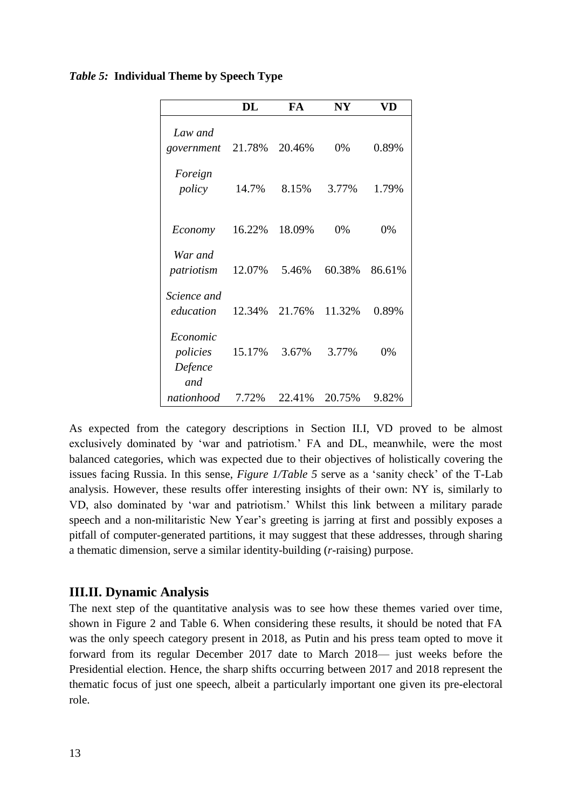|                                        | DL     | FA     | $N\mathbf{Y}$ | VD     |
|----------------------------------------|--------|--------|---------------|--------|
| Law and<br>government                  | 21.78% | 20.46% | 0%            | 0.89%  |
| Foreign<br>policy                      | 14.7%  | 8.15%  | 3.77%         | 1.79%  |
| Economy                                | 16.22% | 18.09% | 0%            | 0%     |
| War and<br>patriotism                  | 12.07% | 5.46%  | 60.38%        | 86.61% |
| Science and<br>education               | 12.34% | 21.76% | 11.32%        | 0.89%  |
| Economic<br>policies<br>Defence<br>and | 15.17% | 3.67%  | 3.77%         | 0%     |
| nationhood                             | 7.72%  | 22.41% | 20.75%        | 9.82%  |

#### *Table 5:* **Individual Theme by Speech Type**

As expected from the category descriptions in Section II.I, VD proved to be almost exclusively dominated by 'war and patriotism.' FA and DL, meanwhile, were the most balanced categories, which was expected due to their objectives of holistically covering the issues facing Russia. In this sense, *Figure 1/Table 5* serve as a 'sanity check' of the T-Lab analysis. However, these results offer interesting insights of their own: NY is, similarly to VD, also dominated by 'war and patriotism.' Whilst this link between a military parade speech and a non-militaristic New Year's greeting is jarring at first and possibly exposes a pitfall of computer-generated partitions, it may suggest that these addresses, through sharing a thematic dimension, serve a similar identity-building (*r-*raising) purpose.

#### **III.II. Dynamic Analysis**

The next step of the quantitative analysis was to see how these themes varied over time, shown in Figure 2 and Table 6. When considering these results, it should be noted that FA was the only speech category present in 2018, as Putin and his press team opted to move it forward from its regular December 2017 date to March 2018— just weeks before the Presidential election. Hence, the sharp shifts occurring between 2017 and 2018 represent the thematic focus of just one speech, albeit a particularly important one given its pre-electoral role.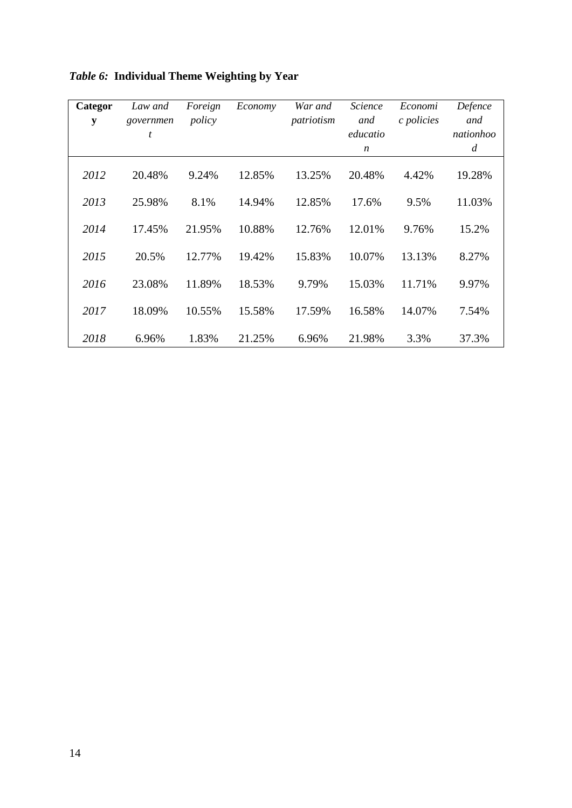| Categor<br>$\mathbf y$ | Law and<br>governmen<br>t | Foreign<br>policy | Economy | War and<br>patriotism | Science<br>and<br>educatio<br>$\boldsymbol{n}$ | Economi<br>c policies | Defence<br>and<br>nationhoo<br>$\overline{d}$ |
|------------------------|---------------------------|-------------------|---------|-----------------------|------------------------------------------------|-----------------------|-----------------------------------------------|
| 2012                   | 20.48%                    | 9.24%             | 12.85%  | 13.25%                | 20.48%                                         | 4.42%                 | 19.28%                                        |
| 2013                   | 25.98%                    | 8.1%              | 14.94%  | 12.85%                | 17.6%                                          | 9.5%                  | 11.03%                                        |
| 2014                   | 17.45%                    | 21.95%            | 10.88%  | 12.76%                | 12.01%                                         | 9.76%                 | 15.2%                                         |
| 2015                   | 20.5%                     | 12.77%            | 19.42%  | 15.83%                | 10.07%                                         | 13.13%                | 8.27%                                         |
| 2016                   | 23.08%                    | 11.89%            | 18.53%  | 9.79%                 | 15.03%                                         | 11.71%                | 9.97%                                         |
| 2017                   | 18.09%                    | 10.55%            | 15.58%  | 17.59%                | 16.58%                                         | 14.07%                | 7.54%                                         |
| 2018                   | 6.96%                     | 1.83%             | 21.25%  | 6.96%                 | 21.98%                                         | 3.3%                  | 37.3%                                         |

*Table 6:* **Individual Theme Weighting by Year**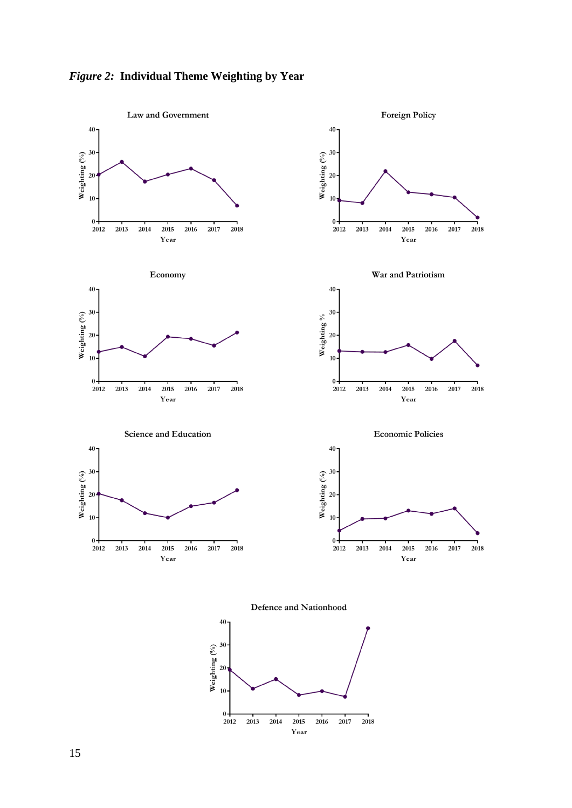



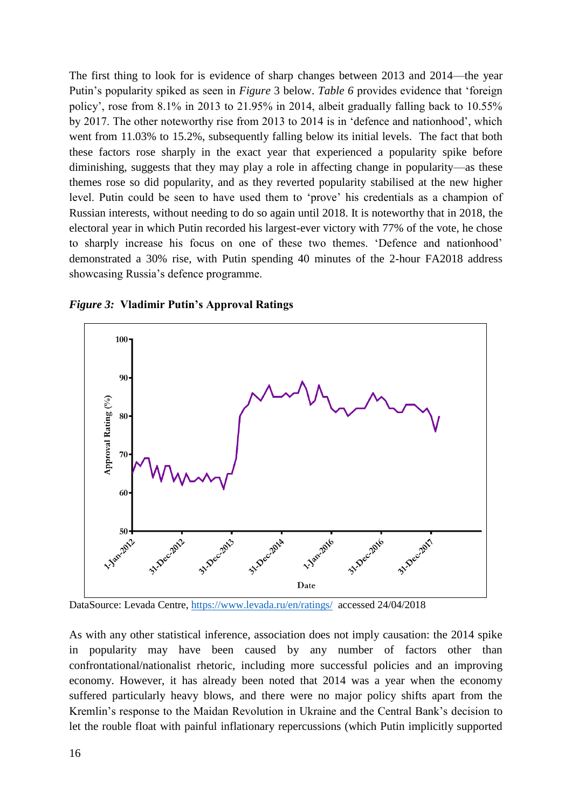The first thing to look for is evidence of sharp changes between 2013 and 2014—the year Putin's popularity spiked as seen in *Figure* 3 below. *Table 6* provides evidence that 'foreign policy', rose from 8.1% in 2013 to 21.95% in 2014, albeit gradually falling back to 10.55% by 2017. The other noteworthy rise from 2013 to 2014 is in 'defence and nationhood', which went from 11.03% to 15.2%, subsequently falling below its initial levels. The fact that both these factors rose sharply in the exact year that experienced a popularity spike before diminishing, suggests that they may play a role in affecting change in popularity—as these themes rose so did popularity, and as they reverted popularity stabilised at the new higher level. Putin could be seen to have used them to 'prove' his credentials as a champion of Russian interests, without needing to do so again until 2018. It is noteworthy that in 2018, the electoral year in which Putin recorded his largest-ever victory with 77% of the vote, he chose to sharply increase his focus on one of these two themes. 'Defence and nationhood' demonstrated a 30% rise, with Putin spending 40 minutes of the 2-hour FA2018 address showcasing Russia's defence programme.



*Figure 3:* **Vladimir Putin's Approval Ratings**

DataSource: Levada Centre,<https://www.levada.ru/en/ratings/>accessed 24/04/2018

As with any other statistical inference, association does not imply causation: the 2014 spike in popularity may have been caused by any number of factors other than confrontational/nationalist rhetoric, including more successful policies and an improving economy. However, it has already been noted that 2014 was a year when the economy suffered particularly heavy blows, and there were no major policy shifts apart from the Kremlin's response to the Maidan Revolution in Ukraine and the Central Bank's decision to let the rouble float with painful inflationary repercussions (which Putin implicitly supported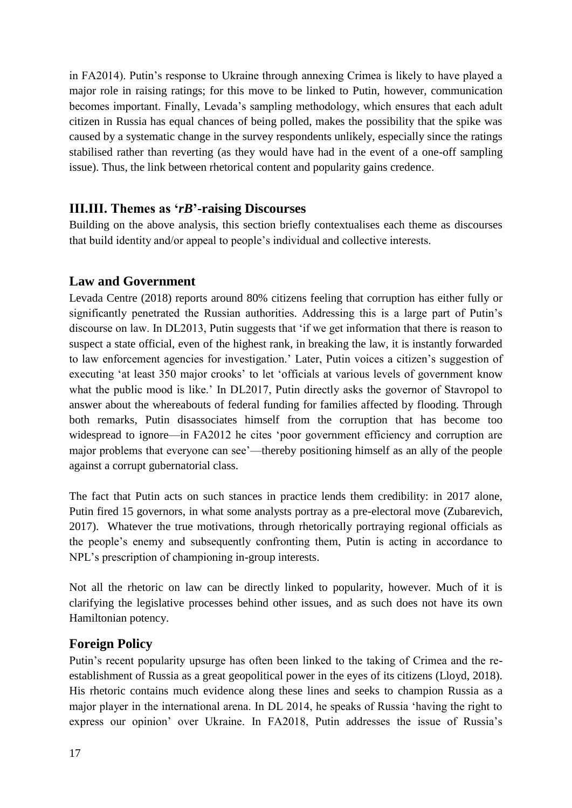in FA2014). Putin's response to Ukraine through annexing Crimea is likely to have played a major role in raising ratings; for this move to be linked to Putin, however, communication becomes important. Finally, Levada's sampling methodology, which ensures that each adult citizen in Russia has equal chances of being polled, makes the possibility that the spike was caused by a systematic change in the survey respondents unlikely, especially since the ratings stabilised rather than reverting (as they would have had in the event of a one-off sampling issue). Thus, the link between rhetorical content and popularity gains credence.

#### **III.III. Themes as '***rB***'-raising Discourses**

Building on the above analysis, this section briefly contextualises each theme as discourses that build identity and/or appeal to people's individual and collective interests.

#### **Law and Government**

Levada Centre (2018) reports around 80% citizens feeling that corruption has either fully or significantly penetrated the Russian authorities. Addressing this is a large part of Putin's discourse on law. In DL2013, Putin suggests that 'if we get information that there is reason to suspect a state official, even of the highest rank, in breaking the law, it is instantly forwarded to law enforcement agencies for investigation.' Later, Putin voices a citizen's suggestion of executing 'at least 350 major crooks' to let 'officials at various levels of government know what the public mood is like.' In DL2017, Putin directly asks the governor of Stavropol to answer about the whereabouts of federal funding for families affected by flooding. Through both remarks, Putin disassociates himself from the corruption that has become too widespread to ignore—in FA2012 he cites 'poor government efficiency and corruption are major problems that everyone can see'—thereby positioning himself as an ally of the people against a corrupt gubernatorial class.

The fact that Putin acts on such stances in practice lends them credibility: in 2017 alone, Putin fired 15 governors, in what some analysts portray as a pre-electoral move (Zubarevich, 2017). Whatever the true motivations, through rhetorically portraying regional officials as the people's enemy and subsequently confronting them, Putin is acting in accordance to NPL's prescription of championing in-group interests.

Not all the rhetoric on law can be directly linked to popularity, however. Much of it is clarifying the legislative processes behind other issues, and as such does not have its own Hamiltonian potency.

#### **Foreign Policy**

Putin's recent popularity upsurge has often been linked to the taking of Crimea and the reestablishment of Russia as a great geopolitical power in the eyes of its citizens (Lloyd, 2018). His rhetoric contains much evidence along these lines and seeks to champion Russia as a major player in the international arena. In DL 2014, he speaks of Russia 'having the right to express our opinion' over Ukraine. In FA2018, Putin addresses the issue of Russia's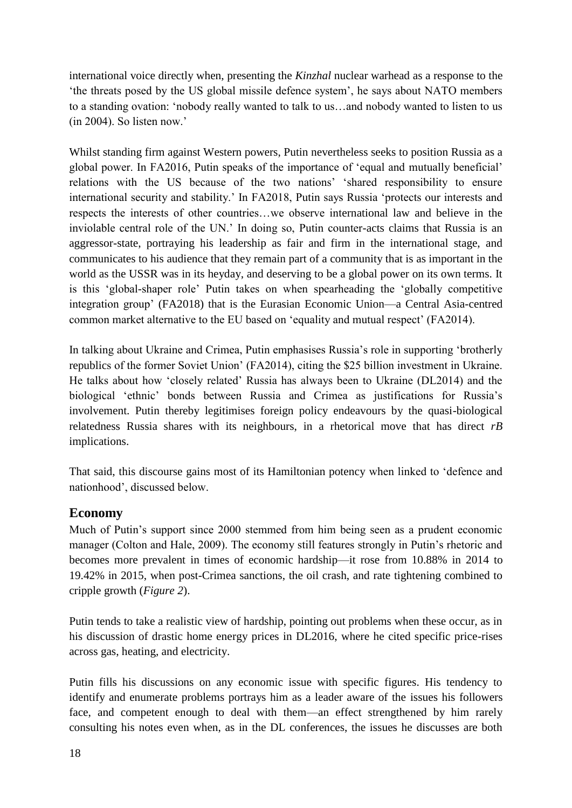international voice directly when, presenting the *Kinzhal* nuclear warhead as a response to the 'the threats posed by the US global missile defence system', he says about NATO members to a standing ovation: 'nobody really wanted to talk to us…and nobody wanted to listen to us (in 2004). So listen now.'

Whilst standing firm against Western powers, Putin nevertheless seeks to position Russia as a global power. In FA2016, Putin speaks of the importance of 'equal and mutually beneficial' relations with the US because of the two nations' 'shared responsibility to ensure international security and stability.' In FA2018, Putin says Russia 'protects our interests and respects the interests of other countries…we observe international law and believe in the inviolable central role of the UN.' In doing so, Putin counter-acts claims that Russia is an aggressor-state, portraying his leadership as fair and firm in the international stage, and communicates to his audience that they remain part of a community that is as important in the world as the USSR was in its heyday, and deserving to be a global power on its own terms. It is this 'global-shaper role' Putin takes on when spearheading the 'globally competitive integration group' (FA2018) that is the Eurasian Economic Union—a Central Asia-centred common market alternative to the EU based on 'equality and mutual respect' (FA2014).

In talking about Ukraine and Crimea, Putin emphasises Russia's role in supporting 'brotherly republics of the former Soviet Union' (FA2014), citing the \$25 billion investment in Ukraine. He talks about how 'closely related' Russia has always been to Ukraine (DL2014) and the biological 'ethnic' bonds between Russia and Crimea as justifications for Russia's involvement. Putin thereby legitimises foreign policy endeavours by the quasi-biological relatedness Russia shares with its neighbours, in a rhetorical move that has direct *rB* implications.

That said, this discourse gains most of its Hamiltonian potency when linked to 'defence and nationhood', discussed below.

#### **Economy**

Much of Putin's support since 2000 stemmed from him being seen as a prudent economic manager (Colton and Hale, 2009). The economy still features strongly in Putin's rhetoric and becomes more prevalent in times of economic hardship—it rose from 10.88% in 2014 to 19.42% in 2015, when post-Crimea sanctions, the oil crash, and rate tightening combined to cripple growth (*Figure 2*).

Putin tends to take a realistic view of hardship, pointing out problems when these occur, as in his discussion of drastic home energy prices in DL2016, where he cited specific price-rises across gas, heating, and electricity.

Putin fills his discussions on any economic issue with specific figures. His tendency to identify and enumerate problems portrays him as a leader aware of the issues his followers face, and competent enough to deal with them—an effect strengthened by him rarely consulting his notes even when, as in the DL conferences, the issues he discusses are both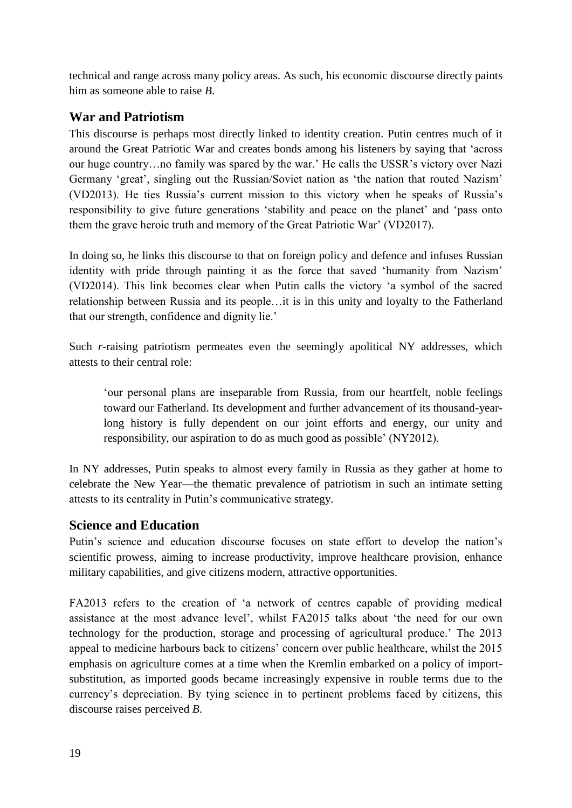technical and range across many policy areas. As such, his economic discourse directly paints him as someone able to raise *B*.

#### **War and Patriotism**

This discourse is perhaps most directly linked to identity creation. Putin centres much of it around the Great Patriotic War and creates bonds among his listeners by saying that 'across our huge country…no family was spared by the war.' He calls the USSR's victory over Nazi Germany 'great', singling out the Russian/Soviet nation as 'the nation that routed Nazism' (VD2013). He ties Russia's current mission to this victory when he speaks of Russia's responsibility to give future generations 'stability and peace on the planet' and 'pass onto them the grave heroic truth and memory of the Great Patriotic War' (VD2017).

In doing so, he links this discourse to that on foreign policy and defence and infuses Russian identity with pride through painting it as the force that saved 'humanity from Nazism' (VD2014). This link becomes clear when Putin calls the victory 'a symbol of the sacred relationship between Russia and its people…it is in this unity and loyalty to the Fatherland that our strength, confidence and dignity lie.'

Such *r*-raising patriotism permeates even the seemingly apolitical NY addresses, which attests to their central role:

'our personal plans are inseparable from Russia, from our heartfelt, noble feelings toward our Fatherland. Its development and further advancement of its thousand-yearlong history is fully dependent on our joint efforts and energy, our unity and responsibility, our aspiration to do as much good as possible' (NY2012).

In NY addresses, Putin speaks to almost every family in Russia as they gather at home to celebrate the New Year—the thematic prevalence of patriotism in such an intimate setting attests to its centrality in Putin's communicative strategy.

#### **Science and Education**

Putin's science and education discourse focuses on state effort to develop the nation's scientific prowess, aiming to increase productivity, improve healthcare provision, enhance military capabilities, and give citizens modern, attractive opportunities.

FA2013 refers to the creation of 'a network of centres capable of providing medical assistance at the most advance level', whilst FA2015 talks about 'the need for our own technology for the production, storage and processing of agricultural produce.' The 2013 appeal to medicine harbours back to citizens' concern over public healthcare, whilst the 2015 emphasis on agriculture comes at a time when the Kremlin embarked on a policy of importsubstitution, as imported goods became increasingly expensive in rouble terms due to the currency's depreciation. By tying science in to pertinent problems faced by citizens, this discourse raises perceived *B*.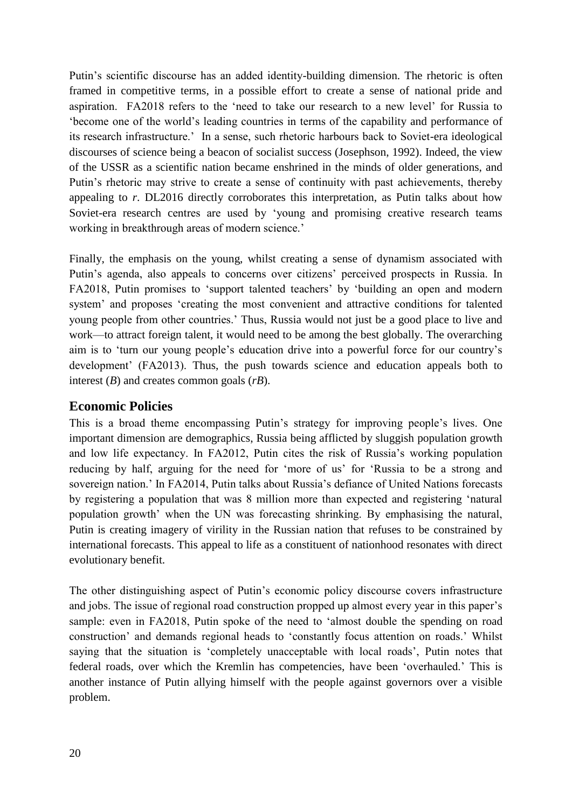Putin's scientific discourse has an added identity-building dimension. The rhetoric is often framed in competitive terms, in a possible effort to create a sense of national pride and aspiration. FA2018 refers to the 'need to take our research to a new level' for Russia to 'become one of the world's leading countries in terms of the capability and performance of its research infrastructure.' In a sense, such rhetoric harbours back to Soviet-era ideological discourses of science being a beacon of socialist success (Josephson, 1992). Indeed, the view of the USSR as a scientific nation became enshrined in the minds of older generations, and Putin's rhetoric may strive to create a sense of continuity with past achievements, thereby appealing to *r*. DL2016 directly corroborates this interpretation, as Putin talks about how Soviet-era research centres are used by 'young and promising creative research teams working in breakthrough areas of modern science.'

Finally, the emphasis on the young, whilst creating a sense of dynamism associated with Putin's agenda, also appeals to concerns over citizens' perceived prospects in Russia. In FA2018, Putin promises to 'support talented teachers' by 'building an open and modern system' and proposes 'creating the most convenient and attractive conditions for talented young people from other countries.' Thus, Russia would not just be a good place to live and work—to attract foreign talent, it would need to be among the best globally. The overarching aim is to 'turn our young people's education drive into a powerful force for our country's development' (FA2013). Thus, the push towards science and education appeals both to interest (*B*) and creates common goals (*rB*).

#### **Economic Policies**

This is a broad theme encompassing Putin's strategy for improving people's lives. One important dimension are demographics, Russia being afflicted by sluggish population growth and low life expectancy. In FA2012, Putin cites the risk of Russia's working population reducing by half, arguing for the need for 'more of us' for 'Russia to be a strong and sovereign nation.' In FA2014, Putin talks about Russia's defiance of United Nations forecasts by registering a population that was 8 million more than expected and registering 'natural population growth' when the UN was forecasting shrinking. By emphasising the natural, Putin is creating imagery of virility in the Russian nation that refuses to be constrained by international forecasts. This appeal to life as a constituent of nationhood resonates with direct evolutionary benefit.

The other distinguishing aspect of Putin's economic policy discourse covers infrastructure and jobs. The issue of regional road construction propped up almost every year in this paper's sample: even in FA2018, Putin spoke of the need to 'almost double the spending on road construction' and demands regional heads to 'constantly focus attention on roads.' Whilst saying that the situation is 'completely unacceptable with local roads', Putin notes that federal roads, over which the Kremlin has competencies, have been 'overhauled.' This is another instance of Putin allying himself with the people against governors over a visible problem.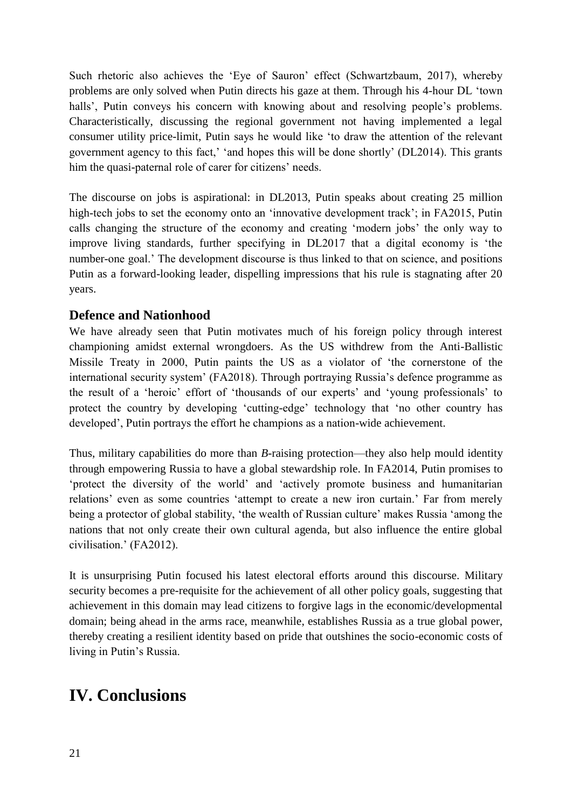Such rhetoric also achieves the 'Eye of Sauron' effect (Schwartzbaum, 2017), whereby problems are only solved when Putin directs his gaze at them. Through his 4-hour DL 'town halls', Putin conveys his concern with knowing about and resolving people's problems. Characteristically, discussing the regional government not having implemented a legal consumer utility price-limit, Putin says he would like 'to draw the attention of the relevant government agency to this fact,' 'and hopes this will be done shortly' (DL2014). This grants him the quasi-paternal role of carer for citizens' needs.

The discourse on jobs is aspirational: in DL2013, Putin speaks about creating 25 million high-tech jobs to set the economy onto an 'innovative development track'; in FA2015, Putin calls changing the structure of the economy and creating 'modern jobs' the only way to improve living standards, further specifying in DL2017 that a digital economy is 'the number-one goal.' The development discourse is thus linked to that on science, and positions Putin as a forward-looking leader, dispelling impressions that his rule is stagnating after 20 years.

#### **Defence and Nationhood**

We have already seen that Putin motivates much of his foreign policy through interest championing amidst external wrongdoers. As the US withdrew from the Anti-Ballistic Missile Treaty in 2000, Putin paints the US as a violator of 'the cornerstone of the international security system' (FA2018). Through portraying Russia's defence programme as the result of a 'heroic' effort of 'thousands of our experts' and 'young professionals' to protect the country by developing 'cutting-edge' technology that 'no other country has developed', Putin portrays the effort he champions as a nation-wide achievement.

Thus, military capabilities do more than *B*-raising protection—they also help mould identity through empowering Russia to have a global stewardship role. In FA2014, Putin promises to 'protect the diversity of the world' and 'actively promote business and humanitarian relations' even as some countries 'attempt to create a new iron curtain.' Far from merely being a protector of global stability, 'the wealth of Russian culture' makes Russia 'among the nations that not only create their own cultural agenda, but also influence the entire global civilisation.' (FA2012).

It is unsurprising Putin focused his latest electoral efforts around this discourse. Military security becomes a pre-requisite for the achievement of all other policy goals, suggesting that achievement in this domain may lead citizens to forgive lags in the economic/developmental domain; being ahead in the arms race, meanwhile, establishes Russia as a true global power, thereby creating a resilient identity based on pride that outshines the socio-economic costs of living in Putin's Russia.

## **IV. Conclusions**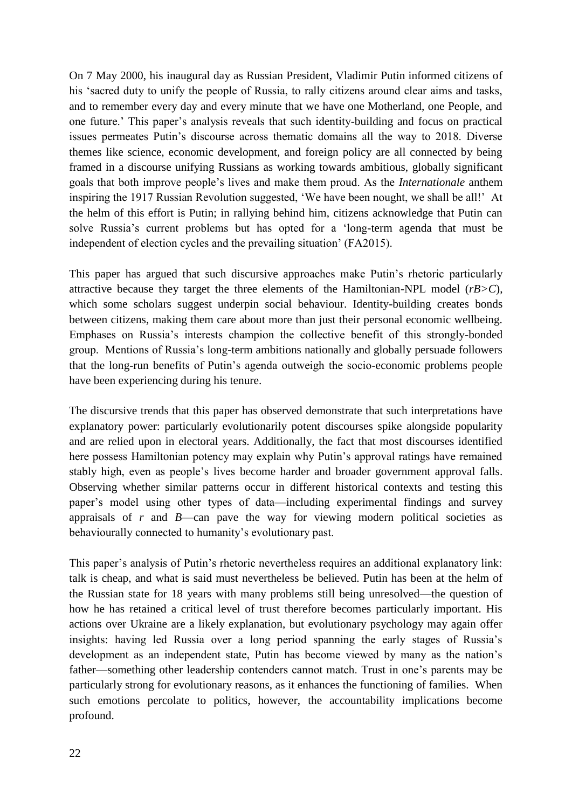On 7 May 2000, his inaugural day as Russian President, Vladimir Putin informed citizens of his 'sacred duty to unify the people of Russia, to rally citizens around clear aims and tasks, and to remember every day and every minute that we have one Motherland, one People, and one future.' This paper's analysis reveals that such identity-building and focus on practical issues permeates Putin's discourse across thematic domains all the way to 2018. Diverse themes like science, economic development, and foreign policy are all connected by being framed in a discourse unifying Russians as working towards ambitious, globally significant goals that both improve people's lives and make them proud. As the *Internationale* anthem inspiring the 1917 Russian Revolution suggested, 'We have been nought, we shall be all!' At the helm of this effort is Putin; in rallying behind him, citizens acknowledge that Putin can solve Russia's current problems but has opted for a 'long-term agenda that must be independent of election cycles and the prevailing situation' (FA2015).

This paper has argued that such discursive approaches make Putin's rhetoric particularly attractive because they target the three elements of the Hamiltonian-NPL model (*rB>C*), which some scholars suggest underpin social behaviour. Identity-building creates bonds between citizens, making them care about more than just their personal economic wellbeing. Emphases on Russia's interests champion the collective benefit of this strongly-bonded group. Mentions of Russia's long-term ambitions nationally and globally persuade followers that the long-run benefits of Putin's agenda outweigh the socio-economic problems people have been experiencing during his tenure.

The discursive trends that this paper has observed demonstrate that such interpretations have explanatory power: particularly evolutionarily potent discourses spike alongside popularity and are relied upon in electoral years. Additionally, the fact that most discourses identified here possess Hamiltonian potency may explain why Putin's approval ratings have remained stably high, even as people's lives become harder and broader government approval falls. Observing whether similar patterns occur in different historical contexts and testing this paper's model using other types of data—including experimental findings and survey appraisals of *r* and *B*—can pave the way for viewing modern political societies as behaviourally connected to humanity's evolutionary past.

This paper's analysis of Putin's rhetoric nevertheless requires an additional explanatory link: talk is cheap, and what is said must nevertheless be believed. Putin has been at the helm of the Russian state for 18 years with many problems still being unresolved—the question of how he has retained a critical level of trust therefore becomes particularly important. His actions over Ukraine are a likely explanation, but evolutionary psychology may again offer insights: having led Russia over a long period spanning the early stages of Russia's development as an independent state, Putin has become viewed by many as the nation's father—something other leadership contenders cannot match. Trust in one's parents may be particularly strong for evolutionary reasons, as it enhances the functioning of families. When such emotions percolate to politics, however, the accountability implications become profound.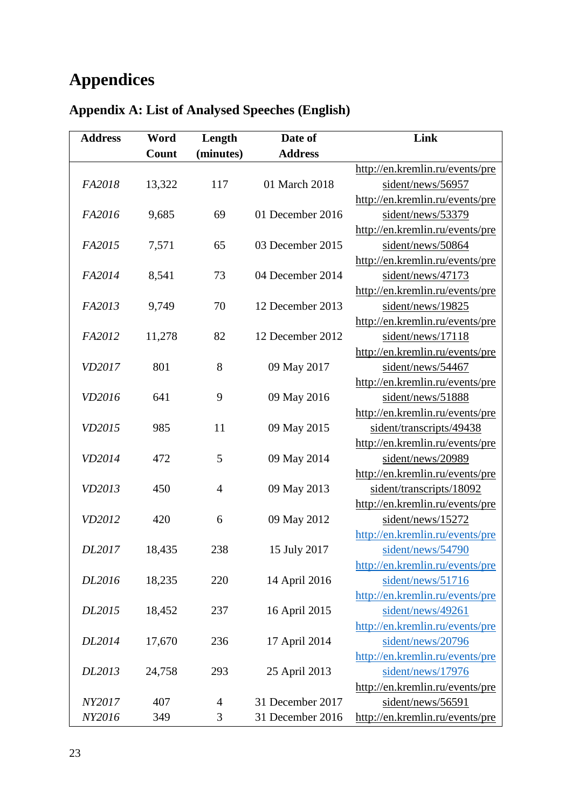# **Appendices**

| <b>Address</b> | Word   | Length         | Date of          | Link                            |
|----------------|--------|----------------|------------------|---------------------------------|
|                | Count  | (minutes)      | <b>Address</b>   |                                 |
|                |        |                |                  | http://en.kremlin.ru/events/pre |
| FA2018         | 13,322 | 117            | 01 March 2018    | sident/news/56957               |
|                |        |                |                  | http://en.kremlin.ru/events/pre |
| FA2016         | 9,685  | 69             | 01 December 2016 | sident/news/53379               |
|                |        |                |                  | http://en.kremlin.ru/events/pre |
| FA2015         | 7,571  | 65             | 03 December 2015 | sident/news/50864               |
|                |        |                |                  | http://en.kremlin.ru/events/pre |
| FA2014         | 8,541  | 73             | 04 December 2014 | sident/news/47173               |
|                |        |                |                  | http://en.kremlin.ru/events/pre |
| FA2013         | 9,749  | 70             | 12 December 2013 | sident/news/19825               |
|                |        |                |                  | http://en.kremlin.ru/events/pre |
| FA2012         | 11,278 | 82             | 12 December 2012 | sident/news/17118               |
|                |        |                |                  | http://en.kremlin.ru/events/pre |
| VD2017         | 801    | 8              | 09 May 2017      | sident/news/54467               |
|                |        |                |                  | http://en.kremlin.ru/events/pre |
| VD2016         | 641    | 9              | 09 May 2016      | sident/news/51888               |
|                |        |                |                  | http://en.kremlin.ru/events/pre |
| VD2015         | 985    | 11             | 09 May 2015      | sident/transcripts/49438        |
|                |        |                |                  | http://en.kremlin.ru/events/pre |
| VD2014         | 472    | 5              | 09 May 2014      | sident/news/20989               |
|                |        |                |                  | http://en.kremlin.ru/events/pre |
| VD2013         | 450    | $\overline{4}$ | 09 May 2013      | sident/transcripts/18092        |
|                |        |                |                  | http://en.kremlin.ru/events/pre |
| VD2012         | 420    | 6              | 09 May 2012      | sident/news/15272               |
|                |        |                |                  | http://en.kremlin.ru/events/pre |
| DL2017         | 18,435 | 238            | 15 July 2017     | sident/news/54790               |
|                |        |                |                  | http://en.kremlin.ru/events/pre |
| DL2016         | 18,235 | 220            | 14 April 2016    | sident/news/51716               |
|                |        |                |                  | http://en.kremlin.ru/events/pre |
| DL2015         | 18,452 | 237            | 16 April 2015    | sident/news/49261               |
|                |        |                |                  | http://en.kremlin.ru/events/pre |
| DL2014         | 17,670 | 236            | 17 April 2014    | sident/news/20796               |
|                |        |                |                  | http://en.kremlin.ru/events/pre |
| DL2013         | 24,758 | 293            | 25 April 2013    | sident/news/17976               |
|                |        |                |                  | http://en.kremlin.ru/events/pre |
| NY2017         | 407    | 4              | 31 December 2017 | sident/news/56591               |
| NY2016         | 349    | 3              | 31 December 2016 | http://en.kremlin.ru/events/pre |

# **Appendix A: List of Analysed Speeches (English)**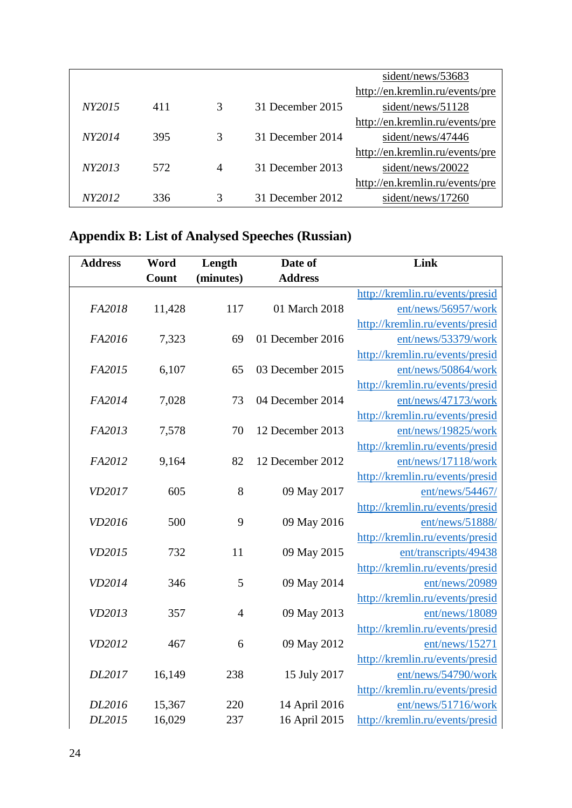|        |     |                |                  | sident/news/53683               |
|--------|-----|----------------|------------------|---------------------------------|
|        |     |                |                  | http://en.kremlin.ru/events/pre |
| NY2015 | 411 | 3              | 31 December 2015 | sident/news/51128               |
|        |     |                |                  | http://en.kremlin.ru/events/pre |
| NY2014 | 395 | 3              | 31 December 2014 | sident/news/47446               |
|        |     |                |                  | http://en.kremlin.ru/events/pre |
| NY2013 | 572 | $\overline{4}$ | 31 December 2013 | sident/news/20022               |
|        |     |                |                  | http://en.kremlin.ru/events/pre |
| NY2012 | 336 | 3              | 31 December 2012 | sident/news/17260               |

# **Appendix B: List of Analysed Speeches (Russian)**

| <b>Address</b> | Word   | Length         | Date of                        | Link                                                   |
|----------------|--------|----------------|--------------------------------|--------------------------------------------------------|
|                | Count  | (minutes)      | <b>Address</b>                 |                                                        |
|                |        |                |                                | http://kremlin.ru/events/presid                        |
| FA2018         | 11,428 | 117            | 01 March 2018                  | ent/news/56957/work                                    |
|                |        |                |                                | http://kremlin.ru/events/presid                        |
| FA2016         | 7,323  | 69             | 01 December 2016               | ent/news/53379/work                                    |
|                |        |                |                                | http://kremlin.ru/events/presid                        |
| FA2015         | 6,107  | 65             | 03 December 2015               | ent/news/50864/work                                    |
|                |        |                |                                | http://kremlin.ru/events/presid                        |
| FA2014         | 7,028  | 73             | 04 December 2014               | ent/news/47173/work                                    |
|                |        |                |                                | http://kremlin.ru/events/presid                        |
| FA2013         | 7,578  | 70             | 12 December 2013               | ent/news/19825/work                                    |
|                |        |                |                                | http://kremlin.ru/events/presid                        |
| FA2012         | 9,164  | 82             | 12 December 2012               | ent/news/17118/work                                    |
|                |        |                |                                | http://kremlin.ru/events/presid                        |
| VD2017         | 605    | 8              | 09 May 2017                    | ent/news/54467/                                        |
|                |        |                |                                | http://kremlin.ru/events/presid                        |
| VD2016         | 500    | 9              | 09 May 2016                    | ent/news/51888/                                        |
|                |        |                |                                | http://kremlin.ru/events/presid                        |
| VD2015         | 732    | 11             | 09 May 2015                    | ent/transcripts/49438                                  |
|                |        |                |                                | http://kremlin.ru/events/presid                        |
| VD2014         | 346    | 5              | 09 May 2014                    | ent/news/20989                                         |
|                |        |                |                                | http://kremlin.ru/events/presid                        |
| VD2013         | 357    | $\overline{4}$ | 09 May 2013                    | ent/news/18089                                         |
|                |        |                |                                | http://kremlin.ru/events/presid                        |
| VD2012         | 467    | 6              | 09 May 2012                    | ent/news/15271                                         |
| DL2017         |        | 238            |                                | http://kremlin.ru/events/presid                        |
|                | 16,149 |                | 15 July 2017                   | ent/news/54790/work                                    |
| DL2016         | 15,367 | 220            |                                | http://kremlin.ru/events/presid<br>ent/news/51716/work |
| DL2015         | 16,029 | 237            | 14 April 2016<br>16 April 2015 |                                                        |
|                |        |                |                                | http://kremlin.ru/events/presid                        |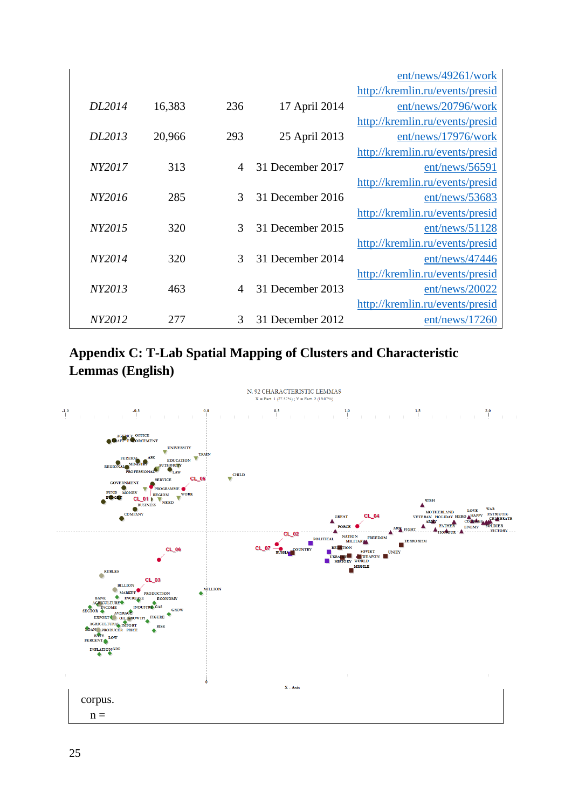|        |        |     |                  | ent/news/49261/work             |
|--------|--------|-----|------------------|---------------------------------|
|        |        |     |                  | http://kremlin.ru/events/presid |
| DL2014 | 16,383 | 236 | 17 April 2014    | ent/news/20796/work             |
|        |        |     |                  | http://kremlin.ru/events/presid |
| DL2013 | 20,966 | 293 | 25 April 2013    | ent/news/17976/work             |
|        |        |     |                  | http://kremlin.ru/events/presid |
| NY2017 | 313    | 4   | 31 December 2017 | ent/news/56591                  |
|        |        |     |                  | http://kremlin.ru/events/presid |
| NY2016 | 285    | 3   | 31 December 2016 | ent/news/53683                  |
|        |        |     |                  | http://kremlin.ru/events/presid |
| NY2015 | 320    | 3   | 31 December 2015 | ent/news/51128                  |
|        |        |     |                  | http://kremlin.ru/events/presid |
| NY2014 | 320    | 3   | 31 December 2014 | ent/news/47446                  |
|        |        |     |                  | http://kremlin.ru/events/presid |
| NY2013 | 463    | 4   | 31 December 2013 | ent/news/20022                  |
|        |        |     |                  | http://kremlin.ru/events/presid |
| NY2012 | 277    | 3   | 31 December 2012 | ent/news/17260                  |

## **Appendix C: T-Lab Spatial Mapping of Clusters and Characteristic Lemmas (English)**

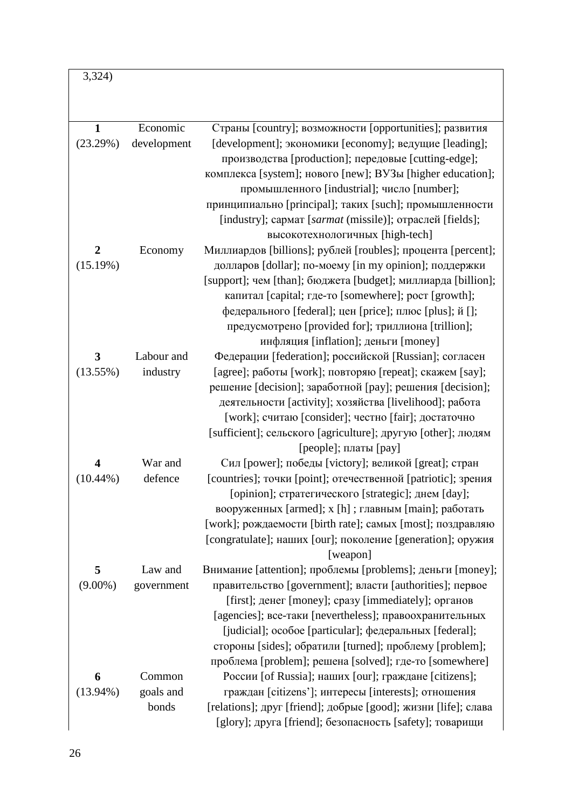3,324)

| $\mathbf{1}$            | Economic    | Страны [country]; возможности [opportunities]; развития        |
|-------------------------|-------------|----------------------------------------------------------------|
| (23.29%)                | development | [development]; экономики [economy]; ведущие [leading];         |
|                         |             | производства [production]; передовые [cutting-edge];           |
|                         |             | комплекса [system]; нового [new]; ВУЗы [higher education];     |
|                         |             | промышленного [industrial]; число [number];                    |
|                         |             | принципиально [principal]; таких [such]; промышленности        |
|                         |             | [industry]; сармат [sarmat (missile)]; отраслей [fields];      |
|                         |             | высокотехнологичных [high-tech]                                |
| $\overline{2}$          | Economy     | Миллиардов [billions]; рублей [roubles]; процента [percent];   |
| (15.19%)                |             | долларов [dollar]; по-моему [in my opinion]; поддержки         |
|                         |             | [support]; чем [than]; бюджета [budget]; миллиарда [billion];  |
|                         |             | капитал [capital; где-то [somewhere]; pocт [growth];           |
|                         |             | федерального [federal]; цен [price]; плюс [plus]; й [];        |
|                         |             | предусмотрено [provided for]; триллиона [trillion];            |
|                         |             | инфляция [inflation]; деньги [money]                           |
| $\overline{\mathbf{3}}$ | Labour and  | Федерации [federation]; российской [Russian]; согласен         |
| (13.55%)                | industry    | [agree]; работы [work]; повторяю [repeat]; скажем [say];       |
|                         |             | решение [decision]; заработной [pay]; решения [decision];      |
|                         |             | деятельности [activity]; хозяйства [livelihood]; работа        |
|                         |             | [work]; считаю [consider]; честно [fair]; достаточно           |
|                         |             | [sufficient]; сельского [agriculture]; другую [other]; людям   |
|                         |             | [people]; платы [pay]                                          |
| $\overline{\mathbf{4}}$ | War and     | Сил [power]; победы [victory]; великой [great]; стран          |
| $(10.44\%)$             | defence     | [countries]; точки [point]; отечественной [patriotic]; зрения  |
|                         |             | [opinion]; стратегического [strategic]; днем [day];            |
|                         |             | вооруженных [armed]; х [h] ; главным [main]; работать          |
|                         |             | [work]; рождаемости [birth rate]; самых [most]; поздравляю     |
|                         |             | [congratulate]; наших [our]; поколение [generation]; оружия    |
|                         |             | [weapon]                                                       |
| 5                       | Law and     | Внимание [attention]; проблемы [problems]; деньги [money];     |
| $(9.00\%)$              | government  | правительство [government]; власти [authorities]; первое       |
|                         |             | [first]; денег [money]; сразу [immediately]; органов           |
|                         |             | [agencies]; все-таки [nevertheless]; правоохранительных        |
|                         |             | [judicial]; особое [particular]; федеральных [federal];        |
|                         |             | стороны [sides]; обратили [turned]; проблему [problem];        |
|                         |             | проблема [problem]; решена [solved]; где-то [somewhere]        |
| 6                       | Common      | России [of Russia]; наших [our]; граждане [citizens];          |
| $(13.94\%)$             | goals and   | граждан [citizens']; интересы [interests]; отношения           |
|                         | bonds       | [relations]; друг [friend]; добрые [good]; жизни [life]; слава |
|                         |             | [glory]; друга [friend]; безопасность [safety]; товарищи       |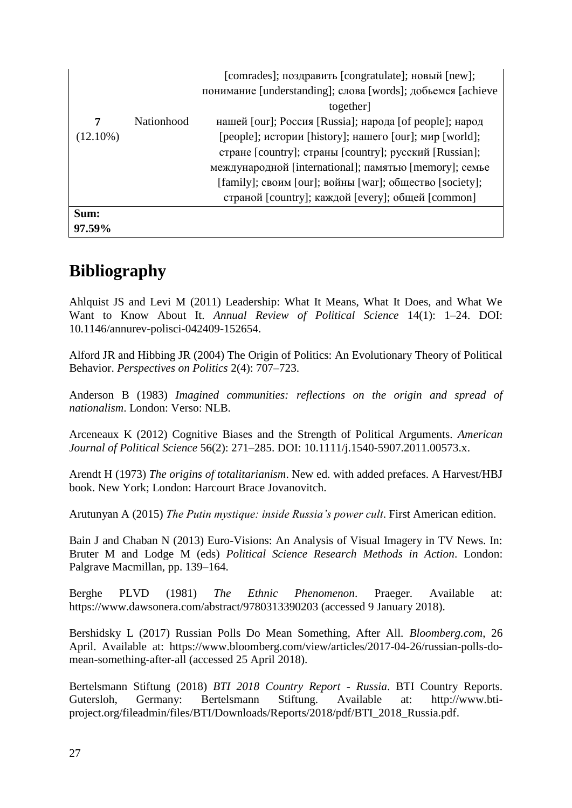|             |            | [comrades]; поздравить [congratulate]; новый [new];         |
|-------------|------------|-------------------------------------------------------------|
|             |            | понимание [understanding]; слова [words]; добьемся [achieve |
|             |            | together]                                                   |
| 7           | Nationhood | нашей [our]; Россия [Russia]; народа [of people]; народ     |
| $(12.10\%)$ |            | [people]; истории [history]; нашего [our]; мир [world];     |
|             |            | стране [country]; страны [country]; русский [Russian];      |
|             |            | международной [international]; памятью [memory]; семье      |
|             |            | [family]; своим [our]; войны [war]; общество [society];     |
|             |            | страной [country]; каждой [every]; общей [common]           |
| Sum:        |            |                                                             |
| 97.59%      |            |                                                             |

# **Bibliography**

Ahlquist JS and Levi M (2011) Leadership: What It Means, What It Does, and What We Want to Know About It. *Annual Review of Political Science* 14(1): 1–24. DOI: [10.1146/annurev-polisci-042409-152654.](https://doi.org/10.1146/annurev-polisci-042409-152654)

Alford JR and Hibbing JR (2004) The Origin of Politics: An Evolutionary Theory of Political Behavior. *Perspectives on Politics* 2(4): 707–723.

Anderson B (1983) *Imagined communities: reflections on the origin and spread of nationalism*. London: Verso: NLB.

Arceneaux K (2012) Cognitive Biases and the Strength of Political Arguments. *American Journal of Political Science* 56(2): 271–285. DOI: [10.1111/j.1540-5907.2011.00573.x.](https://doi.org/10.1111/j.1540-5907.2011.00573.x)

Arendt H (1973) *The origins of totalitarianism*. New ed. with added prefaces. A Harvest/HBJ book. New York; London: Harcourt Brace Jovanovitch.

Arutunyan A (2015) *The Putin mystique: inside Russia's power cult*. First American edition.

Bain J and Chaban N (2013) Euro-Visions: An Analysis of Visual Imagery in TV News. In: Bruter M and Lodge M (eds) *Political Science Research Methods in Action*. London: Palgrave Macmillan, pp. 139–164.

Berghe PLVD (1981) *The Ethnic Phenomenon*. Praeger. Available at: <https://www.dawsonera.com/abstract/9780313390203> (accessed 9 January 2018).

Bershidsky L (2017) Russian Polls Do Mean Something, After All. *Bloomberg.com*, 26 April. Available at: [https://www.bloomberg.com/view/articles/2017-04-26/russian-polls-do](https://www.bloomberg.com/view/articles/2017-04-26/russian-polls-do-mean-something-after-all)[mean-something-after-all](https://www.bloomberg.com/view/articles/2017-04-26/russian-polls-do-mean-something-after-all) (accessed 25 April 2018).

Bertelsmann Stiftung (2018) *BTI 2018 Country Report - Russia*. BTI Country Reports. Gutersloh, Germany: Bertelsmann Stiftung. Available at: [http://www.bti](http://www.bti-project.org/fileadmin/files/BTI/Downloads/Reports/2018/pdf/BTI_2018_Russia.pdf)[project.org/fileadmin/files/BTI/Downloads/Reports/2018/pdf/BTI\\_2018\\_Russia.pdf.](http://www.bti-project.org/fileadmin/files/BTI/Downloads/Reports/2018/pdf/BTI_2018_Russia.pdf)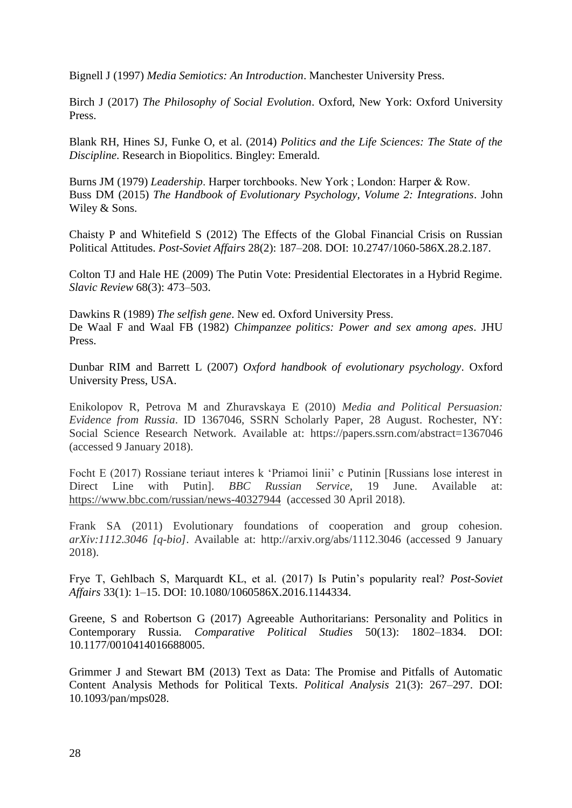Bignell J (1997) *Media Semiotics: An Introduction*. Manchester University Press.

Birch J (2017) *The Philosophy of Social Evolution*. Oxford, New York: Oxford University Press.

Blank RH, Hines SJ, Funke O, et al. (2014) *Politics and the Life Sciences: The State of the Discipline*. Research in Biopolitics. Bingley: Emerald.

Burns JM (1979) *Leadership*. Harper torchbooks. New York ; London: Harper & Row. Buss DM (2015) *The Handbook of Evolutionary Psychology, Volume 2: Integrations*. John Wiley & Sons.

Chaisty P and Whitefield S (2012) The Effects of the Global Financial Crisis on Russian Political Attitudes. *Post-Soviet Affairs* 28(2): 187–208. DOI: [10.2747/1060-586X.28.2.187.](https://doi.org/10.2747/1060-586X.28.2.187)

Colton TJ and Hale HE (2009) The Putin Vote: Presidential Electorates in a Hybrid Regime. *Slavic Review* 68(3): 473–503.

Dawkins R (1989) *The selfish gene*. New ed. Oxford University Press. De Waal F and Waal FB (1982) *Chimpanzee politics: Power and sex among apes*. JHU Press.

Dunbar RIM and Barrett L (2007) *Oxford handbook of evolutionary psychology*. Oxford University Press, USA.

Enikolopov R, Petrova M and Zhuravskaya E (2010) *Media and Political Persuasion: Evidence from Russia*. ID 1367046, SSRN Scholarly Paper, 28 August. Rochester, NY: Social Science Research Network. Available at: <https://papers.ssrn.com/abstract=1367046> (accessed 9 January 2018).

Focht E (2017) Rossiane teriaut interes k 'Priamoi linii' c Putinin [Russians lose interest in Direct Line with Putin]. *BBC Russian Service*, 19 June. Available at: <https://www.bbc.com/russian/news-40327944>(accessed 30 April 2018).

Frank SA (2011) Evolutionary foundations of cooperation and group cohesion. *arXiv:1112.3046 [q-bio]*. Available at:<http://arxiv.org/abs/1112.3046> (accessed 9 January 2018).

Frye T, Gehlbach S, Marquardt KL, et al. (2017) Is Putin's popularity real? *Post-Soviet Affairs* 33(1): 1–15. DOI: [10.1080/1060586X.2016.1144334.](https://doi.org/10.1080/1060586X.2016.1144334)

Greene, S and Robertson G (2017) Agreeable Authoritarians: Personality and Politics in Contemporary Russia. *Comparative Political Studies* 50(13): 1802–1834. DOI: [10.1177/0010414016688005.](https://doi.org/10.1177/0010414016688005)

Grimmer J and Stewart BM (2013) Text as Data: The Promise and Pitfalls of Automatic Content Analysis Methods for Political Texts. *Political Analysis* 21(3): 267–297. DOI: [10.1093/pan/mps028.](https://doi.org/10.1093/pan/mps028)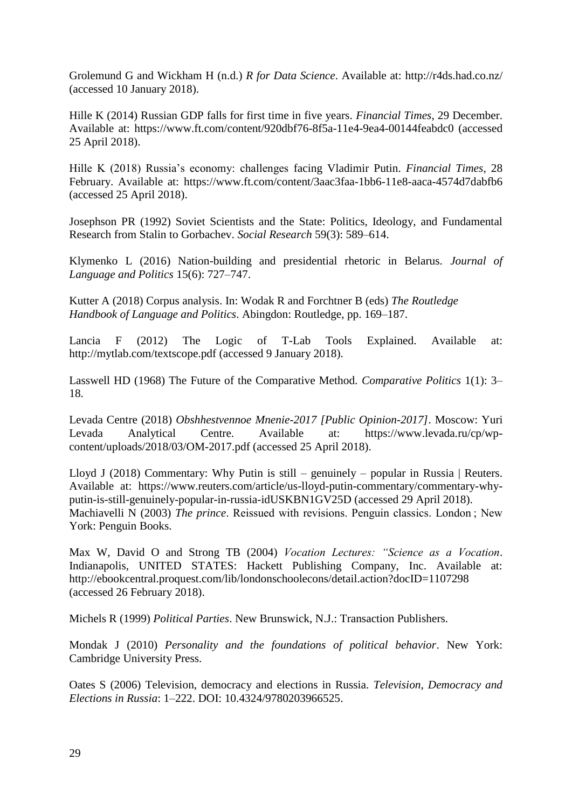Grolemund G and Wickham H (n.d.) *R for Data Science*. Available at:<http://r4ds.had.co.nz/> (accessed 10 January 2018).

Hille K (2014) Russian GDP falls for first time in five years. *Financial Times*, 29 December. Available at:<https://www.ft.com/content/920dbf76-8f5a-11e4-9ea4-00144feabdc0> (accessed 25 April 2018).

Hille K (2018) Russia's economy: challenges facing Vladimir Putin. *Financial Times*, 28 February. Available at:<https://www.ft.com/content/3aac3faa-1bb6-11e8-aaca-4574d7dabfb6> (accessed 25 April 2018).

Josephson PR (1992) Soviet Scientists and the State: Politics, Ideology, and Fundamental Research from Stalin to Gorbachev. *Social Research* 59(3): 589–614.

Klymenko L (2016) Nation-building and presidential rhetoric in Belarus. *Journal of Language and Politics* 15(6): 727–747.

Kutter A (2018) Corpus analysis. In: Wodak R and Forchtner B (eds) *The Routledge Handbook of Language and Politics*. Abingdon: Routledge, pp. 169–187.

Lancia F (2012) The Logic of T-Lab Tools Explained. Available at: <http://mytlab.com/textscope.pdf> (accessed 9 January 2018).

Lasswell HD (1968) The Future of the Comparative Method. *Comparative Politics* 1(1): 3– 18.

Levada Centre (2018) *Obshhestvennoe Mnenie-2017 [Public Opinion-2017]*. Moscow: Yuri Levada Analytical Centre. Available at: [https://www.levada.ru/cp/wp](https://www.levada.ru/cp/wp-content/uploads/2018/03/OM-2017.pdf)[content/uploads/2018/03/OM-2017.pdf](https://www.levada.ru/cp/wp-content/uploads/2018/03/OM-2017.pdf) (accessed 25 April 2018).

Lloyd J (2018) Commentary: Why Putin is still – genuinely – popular in Russia | Reuters. Available at: [https://www.reuters.com/article/us-lloyd-putin-commentary/commentary-why](https://www.reuters.com/article/us-lloyd-putin-commentary/commentary-why-putin-is-still-genuinely-popular-in-russia-idUSKBN1GV25D)[putin-is-still-genuinely-popular-in-russia-idUSKBN1GV25D](https://www.reuters.com/article/us-lloyd-putin-commentary/commentary-why-putin-is-still-genuinely-popular-in-russia-idUSKBN1GV25D) (accessed 29 April 2018). Machiavelli N (2003) *The prince*. Reissued with revisions. Penguin classics. London ; New York: Penguin Books.

Max W, David O and Strong TB (2004) *Vocation Lectures: "Science as a Vocation*. Indianapolis, UNITED STATES: Hackett Publishing Company, Inc. Available at: <http://ebookcentral.proquest.com/lib/londonschoolecons/detail.action?docID=1107298> (accessed 26 February 2018).

Michels R (1999) *Political Parties*. New Brunswick, N.J.: Transaction Publishers.

Mondak J (2010) *Personality and the foundations of political behavior*. New York: Cambridge University Press.

Oates S (2006) Television, democracy and elections in Russia. *Television, Democracy and Elections in Russia*: 1–222. DOI: [10.4324/9780203966525.](https://doi.org/10.4324/9780203966525)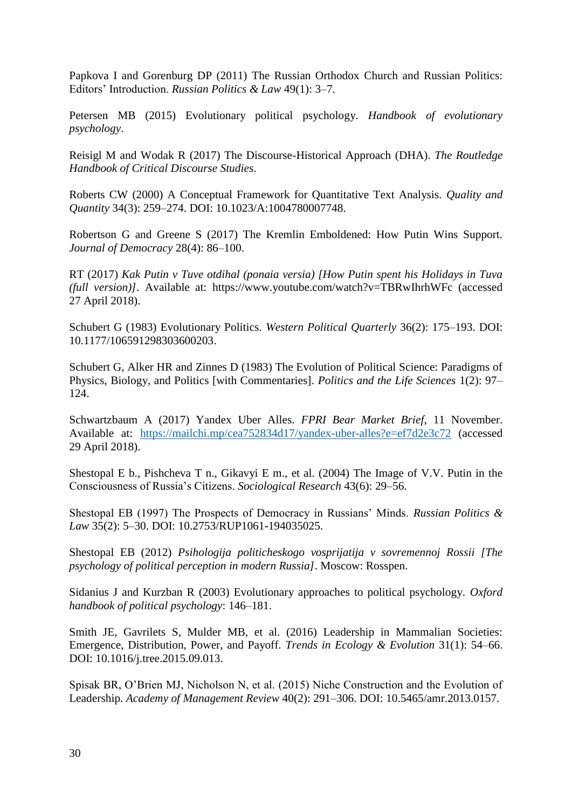Papkova I and Gorenburg DP (2011) The Russian Orthodox Church and Russian Politics: Editors' Introduction. *Russian Politics & Law* 49(1): 3–7.

Petersen MB (2015) Evolutionary political psychology. *Handbook of evolutionary psychology*.

Reisigl M and Wodak R (2017) The Discourse-Historical Approach (DHA). *The Routledge Handbook of Critical Discourse Studies*.

Roberts CW (2000) A Conceptual Framework for Quantitative Text Analysis. *Quality and Quantity* 34(3): 259–274. DOI: [10.1023/A:1004780007748.](https://doi.org/10.1023/A:1004780007748)

Robertson G and Greene S (2017) The Kremlin Emboldened: How Putin Wins Support. *Journal of Democracy* 28(4): 86–100.

RT (2017) *Kak Putin v Tuve otdihal (ponaia versia) [How Putin spent his Holidays in Tuva (full version)]*. Available at: <https://www.youtube.com/watch?v=TBRwIhrhWFc> (accessed 27 April 2018).

Schubert G (1983) Evolutionary Politics. *Western Political Quarterly* 36(2): 175–193. DOI: [10.1177/106591298303600203.](https://doi.org/10.1177/106591298303600203)

Schubert G, Alker HR and Zinnes D (1983) The Evolution of Political Science: Paradigms of Physics, Biology, and Politics [with Commentaries]. *Politics and the Life Sciences* 1(2): 97– 124.

Schwartzbaum A (2017) Yandex Uber Alles. *FPRI Bear Market Brief*, 11 November. Available at: <https://mailchi.mp/cea752834d17/yandex-uber-alles?e=ef7d2e3c72> (accessed 29 April 2018).

Shestopal E b., Pishcheva T n., Gikavyi E m., et al. (2004) The Image of V.V. Putin in the Consciousness of Russia's Citizens. *Sociological Research* 43(6): 29–56.

Shestopal EB (1997) The Prospects of Democracy in Russians' Minds. *Russian Politics & Law* 35(2): 5–30. DOI: [10.2753/RUP1061-194035025.](https://doi.org/10.2753/RUP1061-194035025)

Shestopal EB (2012) *Psihologija politicheskogo vosprijatija v sovremennoj Rossii [The psychology of political perception in modern Russia]*. Moscow: Rosspen.

Sidanius J and Kurzban R (2003) Evolutionary approaches to political psychology. *Oxford handbook of political psychology*: 146–181.

Smith JE, Gavrilets S, Mulder MB, et al. (2016) Leadership in Mammalian Societies: Emergence, Distribution, Power, and Payoff. *Trends in Ecology & Evolution* 31(1): 54–66. DOI: [10.1016/j.tree.2015.09.013.](https://doi.org/10.1016/j.tree.2015.09.013)

Spisak BR, O'Brien MJ, Nicholson N, et al. (2015) Niche Construction and the Evolution of Leadership. *Academy of Management Review* 40(2): 291–306. DOI: [10.5465/amr.2013.0157.](https://doi.org/10.5465/amr.2013.0157)